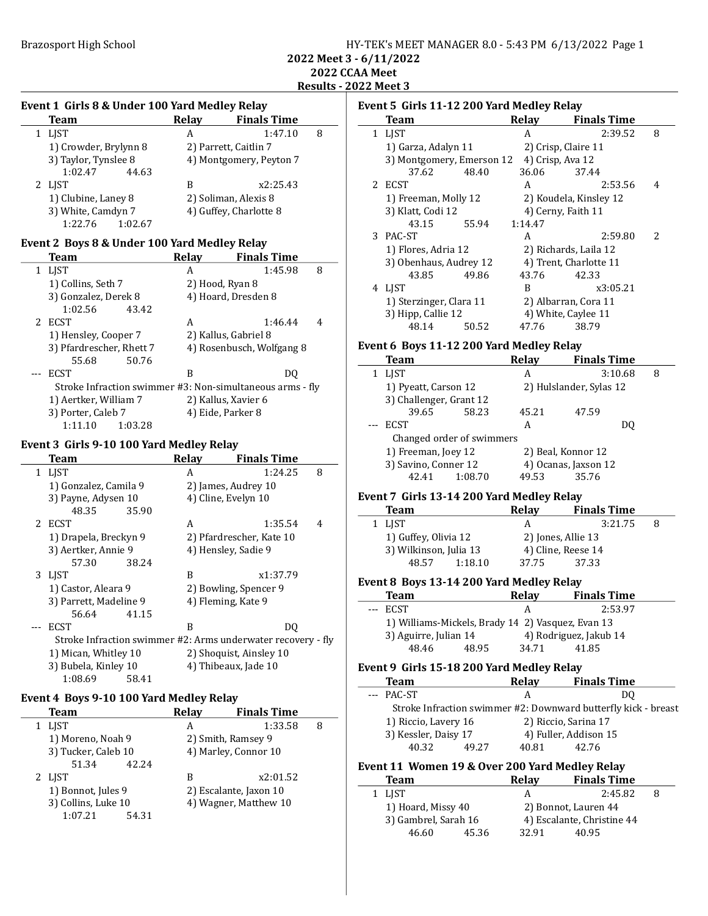Results - 2022 Meet 3

#### Event 1 Girls 8 & Under 100 Yard Medley Relay

| <b>Team</b>           | Relay | <b>Finals Time</b>      |   |
|-----------------------|-------|-------------------------|---|
| <b>LIST</b>           | A     | 1:47.10                 | 8 |
| 1) Crowder, Brylynn 8 |       | 2) Parrett, Caitlin 7   |   |
| 3) Taylor, Tynslee 8  |       | 4) Montgomery, Peyton 7 |   |
| 1:02.47<br>44.63      |       |                         |   |
| LIST                  | В     | x2:25.43                |   |
| 1) Clubine, Laney 8   |       | 2) Soliman, Alexis 8    |   |
| 3) White, Camdyn 7    |       | 4) Guffey, Charlotte 8  |   |
| 1:22.76<br>1:02.67    |       |                         |   |

#### Event 2 Boys 8 & Under 100 Yard Medley Relay

|   | Team                                                      | Relay | <b>Finals Time</b>        |
|---|-----------------------------------------------------------|-------|---------------------------|
| 1 | LIST                                                      | A     | 1:45.98<br>8              |
|   | 1) Collins, Seth 7                                        |       | 2) Hood, Ryan 8           |
|   | 3) Gonzalez, Derek 8                                      |       | 4) Hoard, Dresden 8       |
|   | 1:02.56<br>43.42                                          |       |                           |
|   | 2 ECST                                                    | A     | 1:46.44<br>4              |
|   | 1) Hensley, Cooper 7                                      |       | 2) Kallus, Gabriel 8      |
|   | 3) Pfardrescher, Rhett 7                                  |       | 4) Rosenbusch, Wolfgang 8 |
|   | 55.68<br>50.76                                            |       |                           |
|   | <b>ECST</b>                                               | B     | DO                        |
|   | Stroke Infraction swimmer #3: Non-simultaneous arms - fly |       |                           |
|   | 1) Aertker, William 7                                     |       | 2) Kallus, Xavier 6       |
|   | 3) Porter, Caleb 7                                        |       | 4) Eide, Parker 8         |
|   | 1:11.10<br>1:03.28                                        |       |                           |

#### Event 3 Girls 9-10 100 Yard Medley Relay

| Team                   |       | Relay | <b>Finals Time</b>                                           |   |
|------------------------|-------|-------|--------------------------------------------------------------|---|
| 1 LIST                 |       | A     | 1:24.25                                                      | 8 |
| 1) Gonzalez, Camila 9  |       |       | 2) James, Audrey 10                                          |   |
| 3) Payne, Adysen 10    |       |       | 4) Cline, Evelyn 10                                          |   |
| 48.35                  | 35.90 |       |                                                              |   |
| 2 ECST                 |       | A     | 1:35.54                                                      | 4 |
| 1) Drapela, Breckyn 9  |       |       | 2) Pfardrescher, Kate 10                                     |   |
| 3) Aertker, Annie 9    |       |       | 4) Hensley, Sadie 9                                          |   |
| 57.30                  | 38.24 |       |                                                              |   |
| 3 LIST                 |       | B     | x1:37.79                                                     |   |
| 1) Castor, Aleara 9    |       |       | 2) Bowling, Spencer 9                                        |   |
| 3) Parrett, Madeline 9 |       |       | 4) Fleming, Kate 9                                           |   |
| 56.64                  | 41.15 |       |                                                              |   |
| ECST                   |       | B     | DO                                                           |   |
|                        |       |       | Stroke Infraction swimmer #2: Arms underwater recovery - fly |   |
| 1) Mican, Whitley 10   |       |       | 2) Shoquist, Ainsley 10                                      |   |
| 3) Bubela, Kinley 10   |       |       | 4) Thibeaux, Jade 10                                         |   |
| 1:08.69                | 58.41 |       |                                                              |   |

#### Event 4 Boys 9-10 100 Yard Medley Relay

| <b>Team</b>         | <b>Relay</b> | <b>Finals Time</b>     |   |
|---------------------|--------------|------------------------|---|
| <b>LIST</b>         | А            | 1:33.58                | 8 |
| 1) Moreno, Noah 9   |              | 2) Smith, Ramsey 9     |   |
| 3) Tucker, Caleb 10 |              | 4) Marley, Connor 10   |   |
| 51.34<br>42.24      |              |                        |   |
| 2 LIST              | B            | x2:01.52               |   |
| 1) Bonnot, Jules 9  |              | 2) Escalante, Jaxon 10 |   |
| 3) Collins, Luke 10 |              | 4) Wagner, Matthew 10  |   |
| 1:07.21<br>54.31    |              |                        |   |

|     | Event 5 Girls 11-12 200 Yard Medley Relay<br><b>Team</b>       | Relay              | <b>Finals Time</b>         |   |
|-----|----------------------------------------------------------------|--------------------|----------------------------|---|
|     |                                                                |                    | 2:39.52                    |   |
| 1   | LJST                                                           | A                  |                            | 8 |
|     | 1) Garza, Adalyn 11                                            |                    | 2) Crisp, Claire 11        |   |
|     | 3) Montgomery, Emerson 12                                      | 4) Crisp, Ava 12   |                            |   |
|     | 37.62<br>48.40                                                 | 36.06              | 37.44                      |   |
| 2   | <b>ECST</b>                                                    | A                  | 2:53.56                    | 4 |
|     | 1) Freeman, Molly 12                                           |                    | 2) Koudela, Kinsley 12     |   |
|     | 3) Klatt, Codi 12                                              |                    | 4) Cerny, Faith 11         |   |
|     | 43.15<br>55.94                                                 | 1:14.47            |                            |   |
| 3   | PAC-ST                                                         | A                  | 2:59.80                    | 2 |
|     | 1) Flores, Adria 12                                            |                    | 2) Richards, Laila 12      |   |
|     |                                                                |                    |                            |   |
|     | 3) Obenhaus, Audrey 12                                         |                    | 4) Trent, Charlotte 11     |   |
|     | 43.85<br>49.86                                                 | 43.76              | 42.33                      |   |
|     | 4 LJST                                                         | B                  | x3:05.21                   |   |
|     | 1) Sterzinger, Clara 11                                        |                    | 2) Albarran, Cora 11       |   |
|     | 3) Hipp, Callie 12                                             |                    | 4) White, Caylee 11        |   |
|     | 48.14<br>50.52                                                 | 47.76              | 38.79                      |   |
|     |                                                                |                    |                            |   |
|     | Event 6 Boys 11-12 200 Yard Medley Relay                       |                    |                            |   |
|     | <b>Team</b>                                                    | Relay              | <b>Finals Time</b>         |   |
|     | 1 LIST                                                         | A                  | 3:10.68                    | 8 |
|     | 1) Pyeatt, Carson 12                                           |                    | 2) Hulslander, Sylas 12    |   |
|     | 3) Challenger, Grant 12                                        |                    |                            |   |
|     | 39.65<br>58.23                                                 | 45.21              | 47.59                      |   |
| --- | <b>ECST</b>                                                    | A                  | DQ                         |   |
|     |                                                                |                    |                            |   |
|     | Changed order of swimmers                                      |                    |                            |   |
|     | 1) Freeman, Joey 12                                            |                    | 2) Beal, Konnor 12         |   |
|     | 3) Savino, Conner 12                                           |                    | 4) Ocanas, Jaxson 12       |   |
|     | 42.41<br>1:08.70                                               | 49.53              | 35.76                      |   |
|     | Event 7 Girls 13-14 200 Yard Medley Relay                      |                    |                            |   |
|     | <b>Team</b>                                                    | <b>Relay</b>       | <b>Finals Time</b>         |   |
| 1   | LIST                                                           | A                  | 3:21.75                    | 8 |
|     | 1) Guffey, Olivia 12                                           | 2) Jones, Allie 13 |                            |   |
|     | 3) Wilkinson, Julia 13                                         |                    | 4) Cline, Reese 14         |   |
|     | 48.57<br>1:18.10                                               | 37.75              | 37.33                      |   |
|     |                                                                |                    |                            |   |
|     | Event 8 Boys 13-14 200 Yard Medley Relay                       |                    |                            |   |
|     | Team                                                           | Relay              | <b>Finals Time</b>         |   |
|     | <b>ECST</b>                                                    | A                  | 2:53.97                    |   |
|     | 1) Williams-Mickels, Brady 14 2) Vasquez, Evan 13              |                    |                            |   |
|     | 3) Aguirre, Julian 14                                          |                    | 4) Rodriguez, Jakub 14     |   |
|     | 48.46<br>48.95                                                 | 34.71              | 41.85                      |   |
|     | Event 9 Girls 15-18 200 Yard Medley Relay                      |                    |                            |   |
|     | <b>Team</b>                                                    | Relay              | <b>Finals Time</b>         |   |
| --- | PAC-ST                                                         | A                  | DQ                         |   |
|     | Stroke Infraction swimmer #2: Downward butterfly kick - breast |                    |                            |   |
|     | 1) Riccio, Lavery 16                                           |                    | 2) Riccio, Sarina 17       |   |
|     | 3) Kessler, Daisy 17                                           |                    | 4) Fuller, Addison 15      |   |
|     | 40.32<br>49.27                                                 | 40.81              | 42.76                      |   |
|     | Event 11 Women 19 & Over 200 Yard Medley Relay                 |                    |                            |   |
|     | Team                                                           | <b>Relay</b>       | <b>Finals Time</b>         |   |
| 1   | LJST                                                           | A                  | 2:45.82                    | 8 |
|     | 1) Hoard, Missy 40                                             |                    | 2) Bonnot, Lauren 44       |   |
|     | 3) Gambrel, Sarah 16                                           |                    | 4) Escalante, Christine 44 |   |
|     | 46.60<br>45.36                                                 | 32.91              | 40.95                      |   |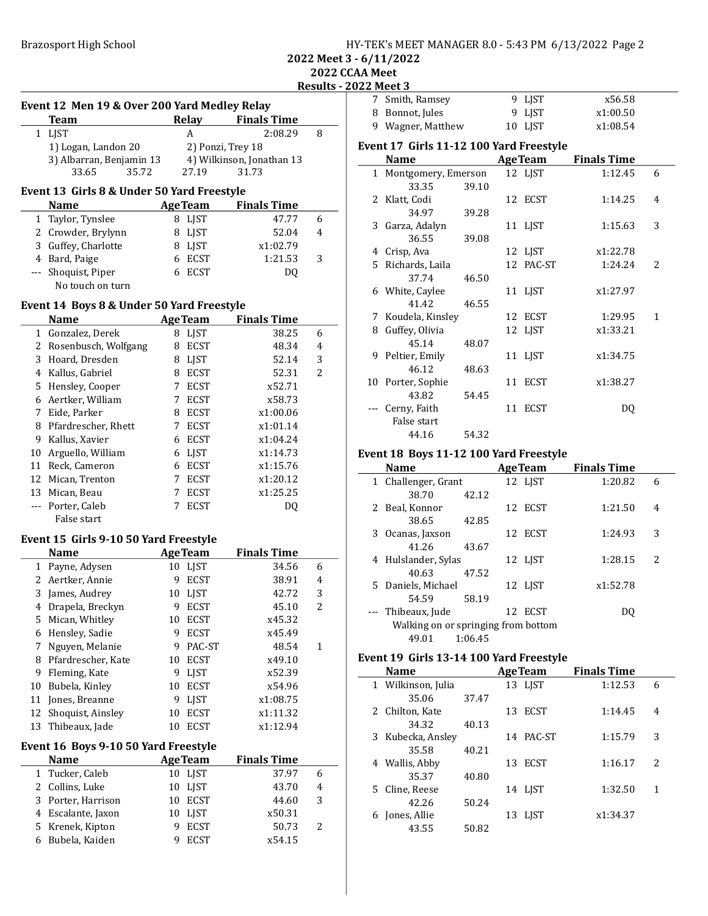2022 Meet 3 - 6/11/2022

# $2022$  CCAA Meet<br>Reculted 2000

# ults - 2022 Meet 3

|         | Event 12 Men 19 & Over 200 Yard Medley Relay |         |                            |                           |              |
|---------|----------------------------------------------|---------|----------------------------|---------------------------|--------------|
|         | <b>Team</b>                                  |         | Relay                      | <b>Finals Time</b>        |              |
|         | 1 LJST                                       |         | A                          | 2:08.29                   | 8            |
|         | 1) Logan, Landon 20                          |         |                            | 2) Ponzi, Trey 18         |              |
|         | 3) Albarran, Benjamin 13                     |         |                            | 4) Wilkinson, Jonathan 13 |              |
|         | 33.65<br>35.72                               |         | 27.19                      | 31.73                     |              |
|         | Event 13 Girls 8 & Under 50 Yard Freestyle   |         |                            |                           |              |
|         | Name                                         |         | <b>AgeTeam</b>             | <b>Finals Time</b>        |              |
|         | 1 Taylor, Tynslee                            |         | 8 LJST                     | 47.77                     | 6            |
|         | 2 Crowder, Brylynn                           |         | 8 LJST                     | 52.04                     | 4            |
|         | 3 Guffey, Charlotte                          |         | 8 LJST                     | x1:02.79                  |              |
|         | 4 Bard, Paige                                |         | 6 ECST                     | 1:21.53                   | 3            |
|         | --- Shoquist, Piper                          |         | 6 ECST                     | DQ                        |              |
|         | No touch on turn                             |         |                            |                           |              |
|         | Event 14 Boys 8 & Under 50 Yard Freestyle    |         |                            |                           |              |
|         | <b>Name</b>                                  |         | <b>AgeTeam</b>             | <b>Finals Time</b>        |              |
|         | 1 Gonzalez, Derek                            |         | 8 LJST                     | 38.25                     | 6            |
|         | 2 Rosenbusch, Wolfgang                       |         | 8 ECST                     | 48.34                     | 4            |
|         | 3 Hoard, Dresden                             |         | 8 LJST                     | 52.14                     | 3            |
|         | 4 Kallus, Gabriel                            |         | 8 ECST                     | 52.31                     | 2            |
|         | 5 Hensley, Cooper                            |         | 7 ECST                     | x52.71                    |              |
|         | 6 Aertker, William                           |         | 7 ECST                     | x58.73                    |              |
|         | 7 Eide, Parker                               |         | 8 ECST                     | x1:00.06                  |              |
|         | 8 Pfardrescher, Rhett                        |         | 7 ECST                     | x1:01.14                  |              |
|         | 9 Kallus, Xavier                             |         | 6 ECST                     | x1:04.24                  |              |
|         | 10 Arguello, William                         |         | 6 LJST                     | x1:14.73                  |              |
|         | 11 Reck, Cameron                             |         | 6 ECST                     | x1:15.76                  |              |
|         | 12 Mican, Trenton                            |         | 7 ECST                     | x1:20.12                  |              |
|         | 13 Mican, Beau                               |         | 7 ECST                     | x1:25.25                  |              |
|         | --- Porter, Caleb                            | 7       | <b>ECST</b>                | DQ                        |              |
|         | False start                                  |         |                            |                           |              |
|         | Event 15 Girls 9-10 50 Yard Freestyle        |         |                            |                           |              |
|         | <b>Name</b>                                  |         | <b>AgeTeam</b>             | <b>Finals Time</b>        |              |
|         | 1 Payne, Adysen                              |         | 10 LJST                    | 34.56                     | 6            |
|         | 2 Aertker, Annie                             |         | 9 ECST                     | 38.91                     | 4            |
|         | 3 James, Audrey                              |         | 10 LJST                    | 42.72                     | 3            |
| 4<br>5. | Drapela, Breckyn<br>Mican, Whitley           | 9<br>10 | <b>ECST</b><br><b>ECST</b> | 45.10<br>x45.32           | 2            |
| 6       | Hensley, Sadie                               | 9       | <b>ECST</b>                | x45.49                    |              |
| 7       | Nguyen, Melanie                              | 9       | PAC-ST                     | 48.54                     | $\mathbf{1}$ |
| 8       | Pfardrescher, Kate                           | 10      | <b>ECST</b>                | x49.10                    |              |
| 9       | Fleming, Kate                                | 9       | <b>LJST</b>                | x52.39                    |              |
| 10      | Bubela, Kinley                               | 10      | <b>ECST</b>                | x54.96                    |              |
| 11      | Jones, Breanne                               | 9       | LJST                       | x1:08.75                  |              |
| 12      | Shoquist, Ainsley                            | 10      | <b>ECST</b>                | x1:11.32                  |              |
| 13      | Thibeaux, Jade                               | 10      | <b>ECST</b>                | x1:12.94                  |              |
|         |                                              |         |                            |                           |              |
|         | Event 16 Boys 9-10 50 Yard Freestyle<br>Name |         | <b>AgeTeam</b>             | <b>Finals Time</b>        |              |
| 1       | Tucker, Caleb                                | 10      | <b>LJST</b>                | 37.97                     | 6            |
| 2       | Collins, Luke                                | 10      | LJST                       | 43.70                     | 4            |
| 3       | Porter, Harrison                             | 10      | ECST                       | 44.60                     | 3            |
| 4       | Escalante, Jaxon                             | 10      | LJST                       | x50.31                    |              |
| 5       | Krenek, Kipton                               | 9       | <b>ECST</b>                | 50.73                     | 2            |
| 6       | Bubela, Kaiden                               | 9       | <b>ECST</b>                | x54.15                    |              |

| 7 Smith, Ramsey   | 9 LIST  | x56.58   |
|-------------------|---------|----------|
| 8 Bonnot, Jules   | 9 LIST  | x1:00.50 |
| 9 Wagner, Matthew | 10 LIST | x1:08.54 |

## Event 17 Girls 11-12 100 Yard Freestyle

| Name               |              |                       |      | <b>Finals Time</b>                                                                                                                   |   |
|--------------------|--------------|-----------------------|------|--------------------------------------------------------------------------------------------------------------------------------------|---|
|                    |              |                       |      | 1:12.45                                                                                                                              | 6 |
| 33.35              | 39.10        |                       |      |                                                                                                                                      |   |
| 2 Klatt, Codi      |              |                       |      | 1:14.25                                                                                                                              | 4 |
| 34.97              | 39.28        |                       |      |                                                                                                                                      |   |
| 3 Garza, Adalyn    |              |                       |      | 1:15.63                                                                                                                              | 3 |
| 36.55              | 39.08        |                       |      |                                                                                                                                      |   |
| 4 Crisp, Ava       |              |                       |      | x1:22.78                                                                                                                             |   |
| 5 Richards, Laila  |              |                       |      | 1:24.24                                                                                                                              | 2 |
| 37.74              | 46.50        |                       |      |                                                                                                                                      |   |
| 6 White, Caylee    |              |                       |      | x1:27.97                                                                                                                             |   |
| 41.42              | 46.55        |                       |      |                                                                                                                                      |   |
| 7 Koudela, Kinsley |              |                       |      | 1:29.95                                                                                                                              | 1 |
| Guffey, Olivia     |              |                       |      | x1:33.21                                                                                                                             |   |
| 45.14              | 48.07        |                       |      |                                                                                                                                      |   |
| 9 Peltier, Emily   |              |                       |      | x1:34.75                                                                                                                             |   |
| 46.12              | 48.63        |                       |      |                                                                                                                                      |   |
| 10 Porter, Sophie  |              |                       |      | x1:38.27                                                                                                                             |   |
| 43.82              | 54.45        |                       |      |                                                                                                                                      |   |
|                    |              |                       | ECST | DO.                                                                                                                                  |   |
| False start        |              |                       |      |                                                                                                                                      |   |
| 44.16              | 54.32        |                       |      |                                                                                                                                      |   |
|                    | Cerny, Faith | 1 Montgomery, Emerson |      | <b>AgeTeam</b><br>12 LIST<br>12 ECST<br>11 LJST<br>12 LJST<br>12 PAC-ST<br>11 LJST<br>12 ECST<br>12 LJST<br>11 LJST<br>11 ECST<br>11 |   |

## Event 18 Boys 11-12 100 Yard Freestyle

| <b>Name</b>        |       |                                                                             | <b>Finals Time</b>                                                                                                      |                          |
|--------------------|-------|-----------------------------------------------------------------------------|-------------------------------------------------------------------------------------------------------------------------|--------------------------|
|                    |       |                                                                             | 1:20.82                                                                                                                 | 6                        |
| 38.70              | 42.12 |                                                                             |                                                                                                                         |                          |
| 2 Beal, Konnor     |       |                                                                             | 1:21.50                                                                                                                 | 4                        |
| 38.65              | 42.85 |                                                                             |                                                                                                                         |                          |
| 3 Ocanas, Jaxson   |       |                                                                             | 1:24.93                                                                                                                 | 3                        |
| 41.26              | 43.67 |                                                                             |                                                                                                                         |                          |
|                    |       |                                                                             | 1:28.15                                                                                                                 | $\overline{\mathcal{L}}$ |
| 40.63              | 47.52 |                                                                             |                                                                                                                         |                          |
|                    |       |                                                                             | x1:52.78                                                                                                                |                          |
| 54.59              | 58.19 |                                                                             |                                                                                                                         |                          |
| --- Thibeaux, Jude |       |                                                                             | DΟ                                                                                                                      |                          |
|                    |       |                                                                             |                                                                                                                         |                          |
| 49.01              |       |                                                                             |                                                                                                                         |                          |
|                    |       | 1 Challenger, Grant<br>4 Hulslander, Sylas<br>5 Daniels, Michael<br>1:06.45 | <b>AgeTeam</b><br>12 LIST<br>12 ECST<br>12 ECST<br>12 LIST<br>12 LIST<br>12 ECST<br>Walking on or springing from bottom |                          |

### Event 19 Girls 13-14 100 Yard Freestyle

| <b>Name</b>        |       |    | <b>AgeTeam</b> | <b>Finals Time</b> |   |
|--------------------|-------|----|----------------|--------------------|---|
| 1 Wilkinson, Julia |       |    | 13 LJST        | 1:12.53            | 6 |
| 35.06              | 37.47 |    |                |                    |   |
| 2 Chilton, Kate    |       | 13 | ECST           | 1:14.45            | 4 |
| 34.32              | 40.13 |    |                |                    |   |
| 3 Kubecka, Ansley  |       |    | 14 PAC-ST      | 1:15.79            | 3 |
| 35.58              | 40.21 |    |                |                    |   |
| 4 Wallis, Abby     |       |    | 13 ECST        | 1:16.17            | 2 |
| 35.37              | 40.80 |    |                |                    |   |
| Cline, Reese<br>5. |       |    | 14 LIST        | 1:32.50            | 1 |
| 42.26              | 50.24 |    |                |                    |   |
| Jones, Allie<br>6  |       |    | 13 LIST        | x1:34.37           |   |
| 43.55              | 50.82 |    |                |                    |   |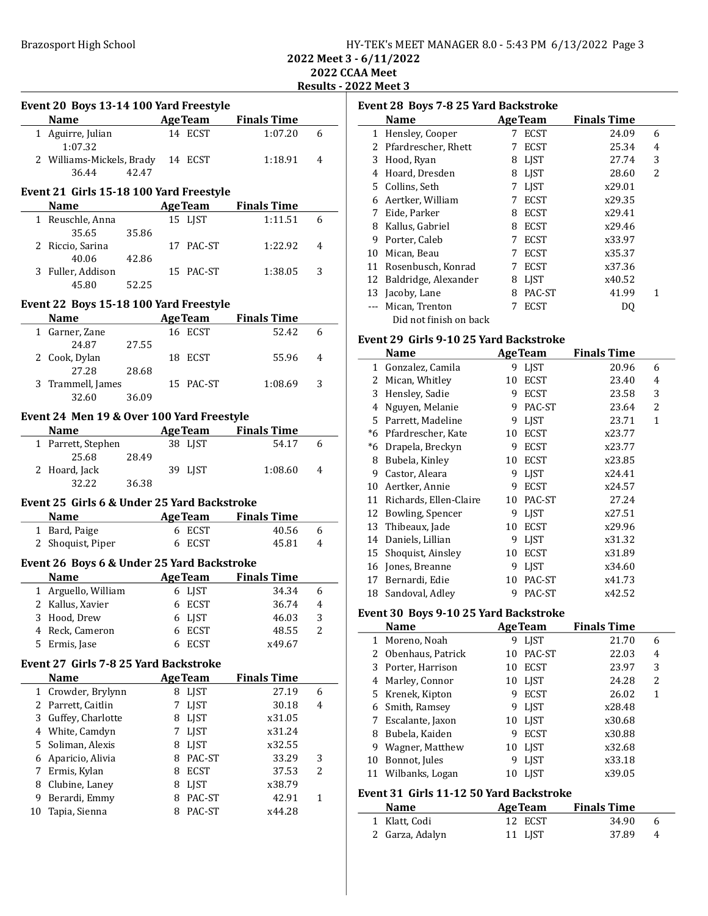| : High School | HY-TEK's MEET MANAGER 8.0 - 5:43 PM 6/13/2022 Page 3 |  |
|---------------|------------------------------------------------------|--|
|               | 2022 Meet 3 - 6/11/2022                              |  |
|               | <b>2022 CCAA Meet</b>                                |  |
|               | Results - 2022 Meet 3                                |  |

Results - 2022 Meet 3

|    | Name AgeTeam Finals Time                     |       |   |                |                                        |                |
|----|----------------------------------------------|-------|---|----------------|----------------------------------------|----------------|
|    | 1 Aguirre, Julian                            |       |   | 14 ECST        | 1:07.20                                | 6              |
|    | 1:07.32                                      |       |   |                |                                        |                |
|    | 2 Williams-Mickels, Brady 14 ECST            |       |   |                | 1:18.91                                | 4              |
|    | 36.44                                        | 42.47 |   |                |                                        |                |
|    |                                              |       |   |                |                                        |                |
|    | Event 21 Girls 15-18 100 Yard Freestyle      |       |   |                |                                        |                |
|    | <b>Name</b>                                  |       |   |                | <b>Example 2 Age Team</b> Finals Time  |                |
|    | 1 Reuschle, Anna                             |       |   | 15 LJST        | 1:11.51                                | 6              |
|    | 35.65                                        | 35.86 |   |                |                                        |                |
|    | 2 Riccio, Sarina                             |       |   | 17 PAC-ST      | 1:22.92                                | 4              |
|    | 40.06                                        | 42.86 |   |                |                                        |                |
|    | 3 Fuller, Addison                            |       |   | 15 PAC-ST      | 1:38.05                                | 3              |
|    | 45.80                                        | 52.25 |   |                |                                        |                |
|    | Event 22 Boys 15-18 100 Yard Freestyle       |       |   |                |                                        |                |
|    | Name                                         |       |   |                | <b>Example 2 Age Team</b> Finals Time  |                |
|    | 1 Garner, Zane                               |       |   | 16 ECST        | 52.42                                  | 6              |
|    | 24.87                                        | 27.55 |   |                |                                        |                |
|    | 2 Cook, Dylan                                |       |   | 18 ECST        | 55.96                                  | 4              |
|    | 27.28                                        | 28.68 |   |                |                                        |                |
|    | 3 Trammell, James                            |       |   | 15 PAC-ST      | 1:08.69                                | 3              |
|    | 32.60                                        | 36.09 |   |                |                                        |                |
|    |                                              |       |   |                |                                        |                |
|    | Event 24 Men 19 & Over 100 Yard Freestyle    |       |   |                |                                        |                |
|    | Name AgeTeam Finals Time                     |       |   |                |                                        |                |
|    | 1 Parrett, Stephen                           |       |   | 38 LJST        | 54.17                                  | 6              |
|    |                                              |       |   |                |                                        |                |
|    |                                              |       |   |                |                                        |                |
|    | 25.68 28.49                                  |       |   |                |                                        |                |
|    | 2 Hoard, Jack<br>32.22                       | 36.38 |   | 39 LJST        | 1:08.60                                | 4              |
|    |                                              |       |   |                |                                        |                |
|    | Event 25 Girls 6 & Under 25 Yard Backstroke  |       |   |                |                                        |                |
|    | <b>Name</b>                                  |       |   |                | <b>Example 21 Age Team</b> Finals Time |                |
|    | 1 Bard, Paige                                |       |   | 6 ECST         | 40.56                                  | 6              |
|    | 2 Shoquist, Piper                            |       |   | 6 ECST         | 45.81                                  | 4              |
|    |                                              |       |   |                |                                        |                |
|    | Event 26 Boys 6 & Under 25 Yard Backstroke   |       |   |                |                                        |                |
|    | <b>Name</b>                                  |       |   |                | <b>Example 2 Age Team</b> Finals Time  |                |
|    | 1 Arguello, William                          |       |   | 6 LJST         | 34.34                                  | 6              |
|    | 2 Kallus, Xavier                             |       |   | 6 ECST         | 36.74                                  | $\overline{4}$ |
|    | 3 Hood, Drew 6 LJST                          |       |   |                | 46.03                                  | 3              |
| 4  | Reck, Cameron                                |       | 6 | ECST           | 48.55                                  | 2              |
| 5  | Ermis, Jase                                  |       | 6 | <b>ECST</b>    | x49.67                                 |                |
|    | <b>Event 27 Girls 7-8 25 Yard Backstroke</b> |       |   |                |                                        |                |
|    | Name                                         |       |   |                |                                        |                |
|    |                                              |       |   | <b>AgeTeam</b> | <b>Finals Time</b>                     |                |
| 1  | Crowder, Brylynn                             |       |   | 8 LJST         | 27.19                                  | 6              |
| 2  | Parrett, Caitlin                             |       | 7 | LJST           | 30.18                                  | 4              |
| 3  | Guffey, Charlotte                            |       | 8 | LJST           | x31.05                                 |                |
| 4  | White, Camdyn                                |       |   | 7 LJST         | x31.24                                 |                |
| 5  | Soliman, Alexis                              |       |   | 8 LJST         | x32.55                                 |                |
| 6  | Aparicio, Alivia                             |       |   | 8 PAC-ST       | 33.29                                  | 3              |
| 7  | Ermis, Kylan                                 |       |   | 8 ECST         | 37.53                                  | 2              |
| 8  | Clubine, Laney                               |       |   | 8 LJST         | x38.79                                 |                |
| 9  | Berardi, Emmy                                |       | 8 | PAC-ST         | 42.91                                  | 1              |
| 10 | Tapia, Sienna                                |       | 8 | PAC-ST         | x44.28                                 |                |

|    | <b>Event 28 Boys 7-8 25 Yard Backstroke</b><br><b>Name</b> |   | <b>AgeTeam</b> | <b>Finals Time</b> |   |
|----|------------------------------------------------------------|---|----------------|--------------------|---|
|    |                                                            | 7 | <b>ECST</b>    | 24.09              | 6 |
| 1  | Hensley, Cooper                                            |   |                |                    |   |
| 2  | Pfardrescher, Rhett                                        | 7 | <b>ECST</b>    | 25.34              | 4 |
| 3  | Hood, Ryan                                                 | 8 | <b>LIST</b>    | 27.74              | 3 |
| 4  | Hoard, Dresden                                             | 8 | <b>LIST</b>    | 28.60              | 2 |
|    | 5 Collins, Seth                                            | 7 | <b>LIST</b>    | x29.01             |   |
| 6  | Aertker, William                                           | 7 | <b>ECST</b>    | x29.35             |   |
| 7  | Eide, Parker                                               | 8 | <b>ECST</b>    | x29.41             |   |
| 8  | Kallus, Gabriel                                            | 8 | <b>ECST</b>    | x29.46             |   |
| 9  | Porter, Caleb                                              | 7 | <b>ECST</b>    | x33.97             |   |
| 10 | Mican, Beau                                                | 7 | <b>ECST</b>    | x35.37             |   |
| 11 | Rosenbusch, Konrad                                         | 7 | <b>ECST</b>    | x37.36             |   |
| 12 | Baldridge, Alexander                                       | 8 | <b>LIST</b>    | x40.52             |   |
| 13 | Jacoby, Lane                                               | 8 | PAC-ST         | 41.99              | 1 |
|    | Mican, Trenton                                             | 7 | <b>ECST</b>    | DO                 |   |
|    | Did not finish on back                                     |   |                |                    |   |

## Event 29 Girls 9-10 25 Yard Backstroke

|              | <b>Name</b>            |    | <b>AgeTeam</b> | <b>Finals Time</b> |   |  |
|--------------|------------------------|----|----------------|--------------------|---|--|
| $\mathbf{1}$ | Gonzalez, Camila       | 9  | LJST           | 20.96              | 6 |  |
| 2            | Mican, Whitley         | 10 | <b>ECST</b>    | 23.40              | 4 |  |
| 3            | Hensley, Sadie         | 9  | <b>ECST</b>    | 23.58              | 3 |  |
| 4            | Nguyen, Melanie        | 9  | PAC-ST         | 23.64              | 2 |  |
| 5.           | Parrett, Madeline      | 9  | <b>LJST</b>    | 23.71              | 1 |  |
| *6           | Pfardrescher, Kate     | 10 | <b>ECST</b>    | x23.77             |   |  |
| *6           | Drapela, Breckyn       | 9  | <b>ECST</b>    | x23.77             |   |  |
| 8            | Bubela, Kinley         | 10 | <b>ECST</b>    | x23.85             |   |  |
| 9            | Castor, Aleara         | 9  | <b>LIST</b>    | x24.41             |   |  |
| 10           | Aertker, Annie         | 9  | <b>ECST</b>    | x24.57             |   |  |
| 11           | Richards, Ellen-Claire | 10 | PAC-ST         | 27.24              |   |  |
| 12           | Bowling, Spencer       | 9  | <b>LIST</b>    | x27.51             |   |  |
| 13           | Thibeaux, Jade         | 10 | <b>ECST</b>    | x29.96             |   |  |
| 14           | Daniels, Lillian       | 9  | <b>LIST</b>    | x31.32             |   |  |
| 15           | Shoquist, Ainsley      | 10 | <b>ECST</b>    | x31.89             |   |  |
| 16           | Jones, Breanne         | 9  | <b>LIST</b>    | x34.60             |   |  |
| 17           | Bernardi, Edie         | 10 | PAC-ST         | x41.73             |   |  |
| 18           | Sandoval, Adley        | 9  | PAC-ST         | x42.52             |   |  |

## Event 30 Boys 9-10 25 Yard Backstroke

|    | Name                |    | <b>AgeTeam</b> | <b>Finals Time</b> |   |
|----|---------------------|----|----------------|--------------------|---|
|    | 1 Moreno, Noah      | 9  | <b>LJST</b>    | 21.70              | 6 |
|    | 2 Obenhaus, Patrick | 10 | PAC-ST         | 22.03              | 4 |
|    | 3 Porter, Harrison  | 10 | <b>ECST</b>    | 23.97              | 3 |
|    | 4 Marley, Connor    |    | 10 LJST        | 24.28              | 2 |
|    | 5 Krenek, Kipton    | 9  | <b>ECST</b>    | 26.02              | 1 |
|    | 6 Smith, Ramsey     | 9  | <b>LIST</b>    | x28.48             |   |
|    | 7 Escalante, Jaxon  |    | 10 LJST        | x30.68             |   |
| 8  | Bubela, Kaiden      | q  | <b>ECST</b>    | x30.88             |   |
| 9  | Wagner, Matthew     | 10 | LIST           | x32.68             |   |
| 10 | Bonnot, Jules       | 9  | <b>LIST</b>    | x33.18             |   |
|    | 11 Wilbanks, Logan  | 10 | <b>LIST</b>    | x39.05             |   |
|    |                     |    |                |                    |   |

## Event 31 Girls 11-12 50 Yard Backstroke

| <b>Name</b>     | <b>AgeTeam</b> | <b>Finals Time</b> |  |
|-----------------|----------------|--------------------|--|
| 1 Klatt, Codi   | 12 ECST        | 34.90              |  |
| 2 Garza, Adalyn | 11 LIST        | 37.89              |  |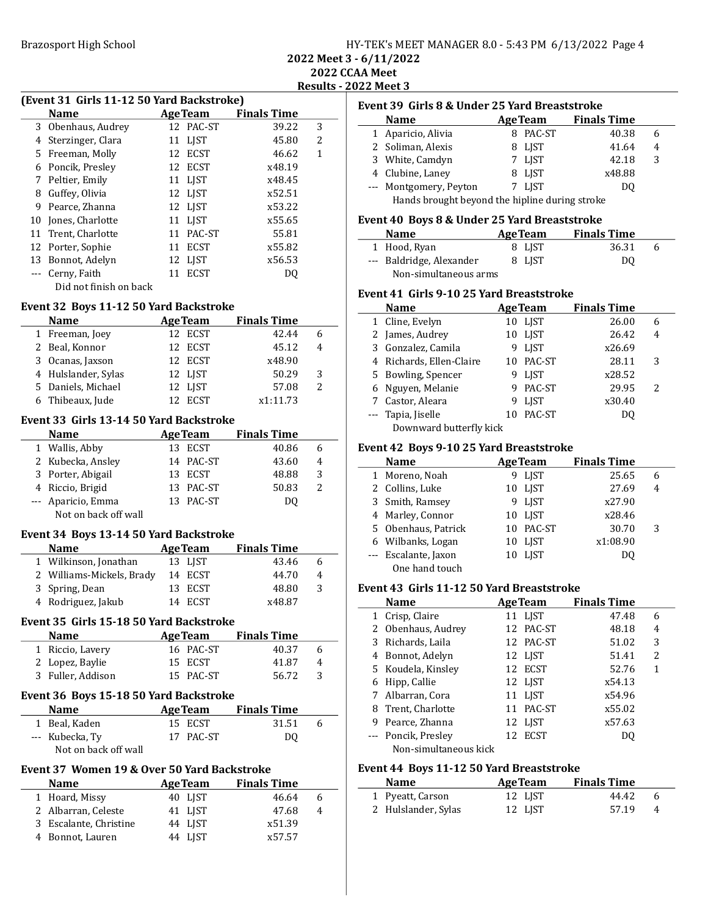|                         |  |  | HY-TEK's MEET MANAGER 8.0 - 5:43 PM 6/13/2022 Page 4 |  |
|-------------------------|--|--|------------------------------------------------------|--|
| 2022 Meet 3 - 6/11/2022 |  |  |                                                      |  |
|                         |  |  |                                                      |  |

2022 CCAA Meet Results - 2022 Meet 3

#### (Event 31 Girls 11-12 50 Yard Backstroke)

| THROUGH THIS II IS 90 THE BUCKSHORE. |                        |    |                 |                    |   |  |  |
|--------------------------------------|------------------------|----|-----------------|--------------------|---|--|--|
|                                      | Name                   |    | <b>Age Team</b> | <b>Finals Time</b> |   |  |  |
|                                      | 3 Obenhaus, Audrey     |    | 12 PAC-ST       | 39.22              | 3 |  |  |
|                                      | 4 Sterzinger, Clara    |    | 11 LJST         | 45.80              | 2 |  |  |
| 5.                                   | Freeman, Molly         |    | 12 ECST         | 46.62              | 1 |  |  |
| 6                                    | Poncik, Presley        |    | 12 ECST         | x48.19             |   |  |  |
|                                      | 7 Peltier, Emily       |    | 11 LJST         | x48.45             |   |  |  |
| 8                                    | Guffey, Olivia         |    | 12 LJST         | x52.51             |   |  |  |
| 9                                    | Pearce, Zhanna         |    | 12 LJST         | x53.22             |   |  |  |
| 10                                   | Jones, Charlotte       |    | 11 LJST         | x55.65             |   |  |  |
| 11                                   | Trent, Charlotte       | 11 | PAC-ST          | 55.81              |   |  |  |
|                                      | 12 Porter, Sophie      | 11 | ECST            | x55.82             |   |  |  |
| 13                                   | Bonnot, Adelyn         |    | 12 LJST         | x56.53             |   |  |  |
|                                      | Cerny, Faith           | 11 | ECST            | DO                 |   |  |  |
|                                      | Did not finish on back |    |                 |                    |   |  |  |

#### Event 32 Boys 11-12 50 Yard Backstroke

| <b>Name</b>         | <b>AgeTeam</b> | <b>Finals Time</b> |                          |
|---------------------|----------------|--------------------|--------------------------|
| 1 Freeman, Joey     | 12 ECST        | 42.44              | 6                        |
| 2 Beal, Konnor      | 12 ECST        | 45.12              | 4                        |
| 3 Ocanas, Jaxson    | 12 ECST        | x48.90             |                          |
| 4 Hulslander, Sylas | 12 LIST        | 50.29              | 3                        |
| 5 Daniels, Michael  | 12 LIST        | 57.08              | $\overline{\mathcal{L}}$ |
| 6 Thibeaux, Jude    | 12 ECST        | x1:11.73           |                          |

#### Event 33 Girls 13-14 50 Yard Backstroke

| <b>Name</b>          | <b>AgeTeam</b> | <b>Finals Time</b> |   |  |
|----------------------|----------------|--------------------|---|--|
| 1 Wallis, Abby       | 13 ECST        | 40.86              | 6 |  |
| 2 Kubecka, Ansley    | 14 PAC-ST      | 43.60              | 4 |  |
| 3 Porter, Abigail    | 13 ECST        | 48.88              | 3 |  |
| 4 Riccio, Brigid     | 13 PAC-ST      | 50.83              |   |  |
| --- Aparicio, Emma   | 13 PAC-ST      | DO.                |   |  |
| Not on back off wall |                |                    |   |  |

#### Event 34 Boys 13-14 50 Yard Backstroke

| <b>Name</b>               | <b>AgeTeam</b> |         | <b>Finals Time</b> |   |
|---------------------------|----------------|---------|--------------------|---|
| 1 Wilkinson, Jonathan     |                | 13 LIST | 43.46              |   |
| 2 Williams-Mickels, Brady |                | 14 ECST | 44.70              | 4 |
| 3 Spring, Dean            |                | 13 ECST | 48.80              | 3 |
| 4 Rodriguez, Jakub        |                | 14 ECST | x48.87             |   |

## Event 35 Girls 15-18 50 Yard Backstroke

| <b>Name</b>       | <b>AgeTeam</b> | <b>Finals Time</b> |   |
|-------------------|----------------|--------------------|---|
| 1 Riccio, Lavery  | 16 PAC-ST      | 40.37              | h |
| 2 Lopez, Baylie   | 15 ECST        | 41.87              | 4 |
| 3 Fuller, Addison | 15 PAC-ST      | 56.72              |   |

## Event 36 Boys 15-18 50 Yard Backstroke

| <b>Name</b>          | <b>AgeTeam</b> | <b>Finals Time</b> |   |
|----------------------|----------------|--------------------|---|
| 1 Beal, Kaden        | 15 ECST        | 31.51              | h |
| --- Kubecka, Ty      | 17 PAC-ST      | DO.                |   |
| Not on back off wall |                |                    |   |

## Event 37 Women 19 & Over 50 Yard Backstroke

| <b>Name</b>            | <b>Age Team</b> | <b>Finals Time</b> |   |
|------------------------|-----------------|--------------------|---|
| 1 Hoard, Missy         | 40 LJST         | 46.64              | 6 |
| 2 Albarran, Celeste    | 41 LJST         | 47.68              | 4 |
| 3 Escalante, Christine | 44 LIST         | x51.39             |   |
| 4 Bonnot, Lauren       | 44 LIST         | x57.57             |   |
|                        |                 |                    |   |

| Event 39 Girls 8 & Under 25 Yard Breaststroke  |                |                    |   |  |
|------------------------------------------------|----------------|--------------------|---|--|
| <b>Name</b>                                    | <b>AgeTeam</b> | <b>Finals Time</b> |   |  |
| 1 Aparicio, Alivia                             | 8 PAC-ST       | 40.38              | 6 |  |
| 2 Soliman, Alexis                              | LIST           | 41.64              | 4 |  |
| 3 White, Camdyn                                | 7 LIST         | 42.18              | 3 |  |
| 4 Clubine, Laney                               | 8 LJST         | x48.88             |   |  |
| --- Montgomery, Peyton                         | 7 LIST         | DΟ                 |   |  |
| Hands brought beyond the hipline during stroke |                |                    |   |  |

#### Event 40 Boys 8 & Under 25 Yard Breaststroke

| <b>Name</b>              | <b>AgeTeam</b> | <b>Finals Time</b> |   |
|--------------------------|----------------|--------------------|---|
| 1 Hood, Ryan             | 8 LIST         | 36.31              | h |
| --- Baldridge, Alexander | 8 LIST         | D0                 |   |
| Non-simultaneous arms    |                |                    |   |

## Event 41 Girls 9-10 25 Yard Breaststroke

| Name                     |    | <b>AgeTeam</b> | <b>Finals Time</b> |   |
|--------------------------|----|----------------|--------------------|---|
| 1 Cline, Evelyn          |    | 10 LJST        | 26.00              | 6 |
| 2 James, Audrey          |    | 10 LIST        | 26.42              |   |
| 3 Gonzalez, Camila       | 9  | LIST           | x26.69             |   |
| 4 Richards, Ellen-Claire |    | 10 PAC-ST      | 28.11              | 3 |
| 5 Bowling, Spencer       | 9  | LIST           | x28.52             |   |
| 6 Nguyen, Melanie        |    | PAC-ST         | 29.95              | 2 |
| 7 Castor, Aleara         | 9  | <b>LIST</b>    | x30.40             |   |
| --- Tapia, Jiselle       | 10 | PAC-ST         | DO.                |   |
| Downward butterfly kick  |    |                |                    |   |

## Event 42 Boys 9-10 25 Yard Breaststroke

| <b>Name</b>          |    | <b>AgeTeam</b> | <b>Finals Time</b> |   |
|----------------------|----|----------------|--------------------|---|
| 1 Moreno, Noah       |    | 9 LIST         | 25.65              | 6 |
| 2 Collins, Luke      |    | 10 LIST        | 27.69              | 4 |
| 3 Smith, Ramsey      |    | 9 LIST         | x27.90             |   |
| 4 Marley, Connor     |    | 10 LIST        | x28.46             |   |
| 5 Obenhaus, Patrick  |    | 10 PAC-ST      | 30.70              | 3 |
| 6 Wilbanks, Logan    |    | 10 LIST        | x1:08.90           |   |
| --- Escalante, Jaxon | 10 | LIST           | DO                 |   |
| One hand touch       |    |                |                    |   |

## Event 43 Girls 11-12 50 Yard Breaststroke

|   | <b>Name</b>           | <b>AgeTeam</b> | <b>Finals Time</b> |                          |  |
|---|-----------------------|----------------|--------------------|--------------------------|--|
|   | 1 Crisp, Claire       | 11 LJST        | 47.48              | 6                        |  |
|   | 2 Obenhaus, Audrey    | 12 PAC-ST      | 48.18              | 4                        |  |
|   | 3 Richards, Laila     | 12 PAC-ST      | 51.02              | 3                        |  |
|   | 4 Bonnot, Adelyn      | 12 LIST        | 51.41              | $\overline{\mathcal{L}}$ |  |
|   | 5 Koudela, Kinsley    | 12 ECST        | 52.76              |                          |  |
|   | 6 Hipp, Callie        | 12 LJST        | x54.13             |                          |  |
|   | 7 Albarran, Cora      | 11 LIST        | x54.96             |                          |  |
|   | 8 Trent, Charlotte    | 11 PAC-ST      | x55.02             |                          |  |
| 9 | Pearce, Zhanna        | 12 LJST        | x57.63             |                          |  |
|   | --- Poncik, Presley   | 12 ECST        | DO                 |                          |  |
|   | Non-simultaneous kick |                |                    |                          |  |

## Event 44 Boys 11-12 50 Yard Breaststroke

| <b>Name</b>         | <b>AgeTeam</b> | <b>Finals Time</b> |   |
|---------------------|----------------|--------------------|---|
| 1 Pyeatt, Carson    | 12 LIST        | 44.42              |   |
| 2 Hulslander, Sylas | 12 LIST        | 57.19              | 4 |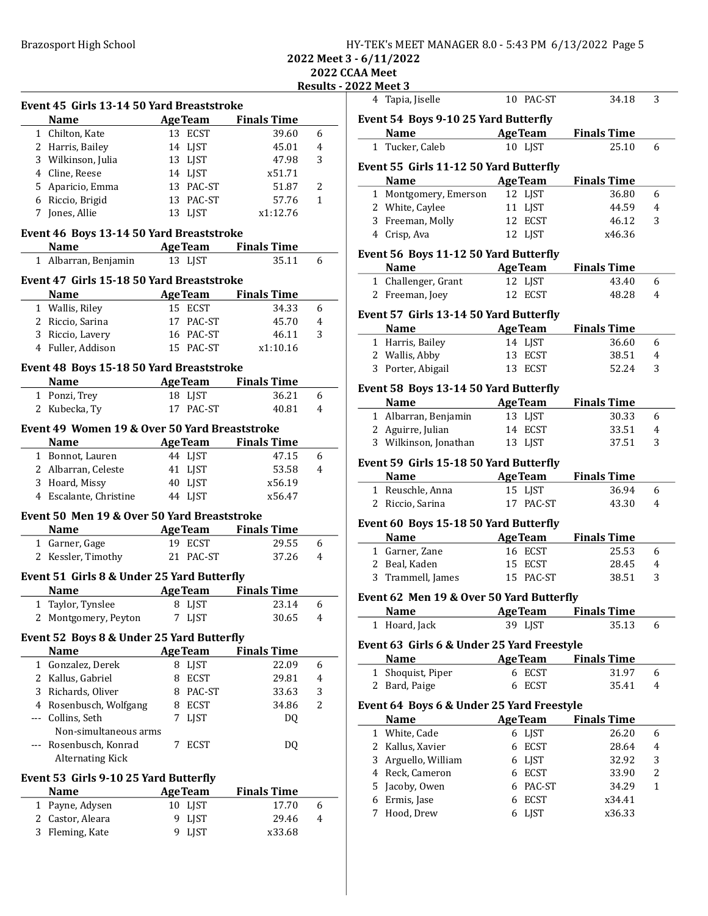| Brazosport High School | HY-TEK's MEET MANAGER 8.0 - 5:43 PM 6/13/2022 Page 5 |
|------------------------|------------------------------------------------------|
|------------------------|------------------------------------------------------|

2022 Meet 3 - 6/11/2022

## 2022 CCAA Meet Results - 2022

|              | Event 45 Girls 13-14 50 Yard Breaststroke     |   |                |                                        |                |
|--------------|-----------------------------------------------|---|----------------|----------------------------------------|----------------|
|              | <b>Name</b><br>Age Team                       |   |                | <b>Finals Time</b>                     |                |
|              | 1 Chilton, Kate                               |   | 13 ECST        | 39.60                                  | 6              |
|              | 2 Harris, Bailey                              |   | 14 LJST        | 45.01                                  | 4              |
|              | 3 Wilkinson, Julia                            |   | 13 LJST        | 47.98                                  | 3              |
|              | 4 Cline, Reese                                |   | 14 LJST        | x51.71                                 |                |
|              | 5 Aparicio, Emma                              |   | 13 PAC-ST      | 51.87                                  | $\overline{2}$ |
|              |                                               |   | 13 PAC-ST      |                                        | $\mathbf{1}$   |
|              | 6 Riccio, Brigid                              |   |                | 57.76                                  |                |
|              | 7 Jones, Allie                                |   | 13 LIST        | x1:12.76                               |                |
|              | Event 46 Boys 13-14 50 Yard Breaststroke      |   |                |                                        |                |
|              | Name AgeTeam Finals Time                      |   |                |                                        |                |
|              | 1 Albarran, Benjamin                          |   | 13 LJST        | 35.11                                  | 6              |
|              | Event 47 Girls 15-18 50 Yard Breaststroke     |   |                |                                        |                |
|              | <b>Name</b>                                   |   |                | <b>Example 2 Age Team</b> Finals Time  |                |
|              | 1 Wallis, Riley                               |   | 15 ECST        | 34.33                                  | 6              |
|              | 2 Riccio, Sarina                              |   | 17 PAC-ST      | 45.70                                  | 4              |
|              | 3 Riccio, Lavery                              |   | 16 PAC-ST      | 46.11                                  | 3              |
|              |                                               |   |                |                                        |                |
|              | 4 Fuller, Addison                             |   | 15 PAC-ST      | x1:10.16                               |                |
|              | Event 48 Boys 15-18 50 Yard Breaststroke      |   |                |                                        |                |
|              | <b>Name</b>                                   |   |                | <b>Example 21 Age Team</b> Finals Time |                |
|              | 1 Ponzi, Trey                                 |   | 18 LJST        | 36.21                                  | 6              |
|              | 2 Kubecka, Ty                                 |   | 17 PAC-ST      | 40.81                                  | 4              |
|              |                                               |   |                |                                        |                |
|              | Event 49 Women 19 & Over 50 Yard Breaststroke |   |                |                                        |                |
|              | Name AgeTeam Finals Time                      |   |                |                                        |                |
|              | 1 Bonnot, Lauren                              |   | 44 LJST        | 47.15                                  | 6              |
|              | 2 Albarran, Celeste                           |   | 41 LJST        | 53.58                                  | 4              |
|              | 3 Hoard, Missy                                |   | 40 LJST        | x56.19                                 |                |
|              | 4 Escalante, Christine 44 LJST                |   |                | x56.47                                 |                |
|              | Event 50 Men 19 & Over 50 Yard Breaststroke   |   |                |                                        |                |
|              | <b>Name</b>                                   |   |                | <b>Example 21 Age Team</b> Finals Time |                |
|              | 1 Garner, Gage                                |   | 19 ECST        | 29.55                                  | 6              |
|              |                                               |   |                | 37.26                                  | 4              |
|              | 2 Kessler, Timothy                            |   | 21 PAC-ST      |                                        |                |
|              | Event 51 Girls 8 & Under 25 Yard Butterfly    |   |                |                                        |                |
|              | <b>Name</b>                                   |   |                | <b>AgeTeam</b> Finals Time             |                |
|              | 1 Taylor, Tynslee                             |   | 8 LJST         | 23.14                                  | 6              |
|              | 2 Montgomery, Peyton                          |   | 7 LJST         | 30.65                                  | 4              |
|              |                                               |   |                |                                        |                |
|              | Event 52 Boys 8 & Under 25 Yard Butterfly     |   |                |                                        |                |
|              | <b>Name</b>                                   |   | <b>AgeTeam</b> | <b>Finals Time</b>                     |                |
|              | 1 Gonzalez, Derek                             |   | 8 LJST         | 22.09                                  | 6              |
|              | 2 Kallus, Gabriel                             |   | 8 ECST         | 29.81                                  | 4              |
| 3            | Richards, Oliver                              |   | 8 PAC-ST       | 33.63                                  | 3              |
|              | 4 Rosenbusch, Wolfgang                        |   | 8 ECST         | 34.86                                  | 2              |
| ---          | Collins, Seth                                 | 7 | <b>LJST</b>    | DQ                                     |                |
|              | Non-simultaneous arms                         |   |                |                                        |                |
|              | --- Rosenbusch, Konrad                        | 7 | ECST           | DQ                                     |                |
|              | <b>Alternating Kick</b>                       |   |                |                                        |                |
|              |                                               |   |                |                                        |                |
|              | Event 53 Girls 9-10 25 Yard Butterfly         |   |                |                                        |                |
|              | <b>Name</b>                                   |   | <b>AgeTeam</b> | <b>Finals Time</b>                     |                |
| $\mathbf{1}$ | Payne, Adysen                                 |   | 10 LJST        | 17.70                                  | 6              |
|              | 2 Castor, Aleara                              | 9 | LJST           | 29.46                                  | 4              |
| 3            | Fleming, Kate                                 |   | 9 LJST         | x33.68                                 |                |

|              | 22 Meet 3                                                |                |                          |                             |   |
|--------------|----------------------------------------------------------|----------------|--------------------------|-----------------------------|---|
| 4            | Tapia, Jiselle                                           |                | 10 PAC-ST                | 34.18                       | 3 |
|              | Event 54 Boys 9-10 25 Yard Butterfly                     |                |                          |                             |   |
|              | <b>AgeTeam</b><br><b>Name</b>                            |                |                          | <b>Finals Time</b>          |   |
|              | 1 Tucker, Caleb                                          |                | 10 LJST                  | 25.10                       | 6 |
|              | Event 55 Girls 11-12 50 Yard Butterfly                   |                |                          |                             |   |
|              | <b>Name</b>                                              |                | <b>AgeTeam</b>           | <b>Finals Time</b>          |   |
|              | 1 Montgomery, Emerson                                    |                | 12 LJST                  | 36.80                       | 6 |
|              | 2 White, Caylee                                          |                | 11 LJST                  | 44.59                       | 4 |
|              | 3 Freeman, Molly                                         |                | 12 ECST                  | 46.12                       | 3 |
|              | 4 Crisp, Ava                                             |                | 12 LJST                  | x46.36                      |   |
|              |                                                          |                |                          |                             |   |
|              | Event 56 Boys 11-12 50 Yard Butterfly<br><b>Name</b>     | <b>AgeTeam</b> |                          | <b>Finals Time</b>          |   |
|              | 1 Challenger, Grant                                      |                | 12 LJST                  | 43.40                       | 6 |
|              | 2 Freeman, Joey                                          |                | 12 ECST                  | 48.28                       | 4 |
|              |                                                          |                |                          |                             |   |
|              | Event 57 Girls 13-14 50 Yard Butterfly                   |                |                          |                             |   |
|              | <b>Name</b>                                              |                | <b>AgeTeam</b>           | <b>Finals Time</b>          |   |
|              | 1 Harris, Bailey                                         |                | 14 LJST                  | 36.60                       | 6 |
|              | 2 Wallis, Abby                                           |                | 13 ECST                  | 38.51                       | 4 |
|              | 3 Porter, Abigail                                        |                | 13 ECST                  | 52.24                       | 3 |
|              | Event 58 Boys 13-14 50 Yard Butterfly                    |                |                          |                             |   |
|              | <b>Name</b><br><b>Example 2</b> Age Team                 |                |                          | <b>Finals Time</b>          |   |
|              | 1 Albarran, Benjamin                                     |                | 13 LJST                  | 30.33                       | 6 |
|              | 2 Aguirre, Julian                                        |                | 14 ECST                  | 33.51                       | 4 |
|              | 3 Wilkinson, Jonathan                                    | 13 LJST        |                          | 37.51                       | 3 |
|              | Event 59 Girls 15-18 50 Yard Butterfly                   |                |                          |                             |   |
|              | <b>Name</b>                                              |                | <b>Age Team</b>          | <b>Finals Time</b>          |   |
|              | 1 Reuschle, Anna                                         |                | 15 LJST                  | 36.94                       | 6 |
|              | 2 Riccio, Sarina                                         |                | 17 PAC-ST                | 43.30                       | 4 |
|              | Event 60 Boys 15-18 50 Yard Butterfly                    |                |                          |                             |   |
|              | <b>Example 2</b> Age Team<br><b>Name</b>                 |                |                          | <b>Finals Time</b>          |   |
|              | 1 Garner, Zane                                           |                | 16 ECST                  | 25.53                       |   |
|              |                                                          |                |                          |                             | 6 |
|              | 2 Beal, Kaden                                            |                | 15 ECST                  | 28.45                       | 4 |
|              | 3 Trammell, James                                        |                | 15 PAC-ST                | 38.51                       | 3 |
|              |                                                          |                |                          |                             |   |
|              | Event 62 Men 19 & Over 50 Yard Butterfly                 |                | <b>AgeTeam</b>           |                             |   |
| $\mathbf{1}$ | <b>Name</b><br>Hoard, Jack                               |                | 39 LJST                  | <b>Finals Time</b><br>35.13 | 6 |
|              |                                                          |                |                          |                             |   |
|              | Event 63 Girls 6 & Under 25 Yard Freestyle<br>Name       |                | <b>AgeTeam</b>           | <b>Finals Time</b>          |   |
| $\mathbf{1}$ | Shoquist, Piper                                          |                | 6 ECST                   | 31.97                       | 6 |
| 2            | Bard, Paige                                              | 6              | <b>ECST</b>              | 35.41                       | 4 |
|              |                                                          |                |                          |                             |   |
|              | Event 64 Boys 6 & Under 25 Yard Freestyle<br><b>Name</b> |                |                          |                             |   |
| 1            | White, Cade                                              |                | <b>AgeTeam</b><br>6 LJST | <b>Finals Time</b><br>26.20 | 6 |
|              | 2 Kallus, Xavier                                         | 6              | <b>ECST</b>              | 28.64                       | 4 |
|              | 3 Arguello, William                                      |                | 6 LJST                   | 32.92                       | 3 |
|              | 4 Reck, Cameron                                          |                | 6 ECST                   | 33.90                       | 2 |
|              | 5 Jacoby, Owen                                           |                | 6 PAC-ST                 | 34.29                       | 1 |
|              | 6 Ermis, Jase                                            |                | 6 ECST                   | x34.41                      |   |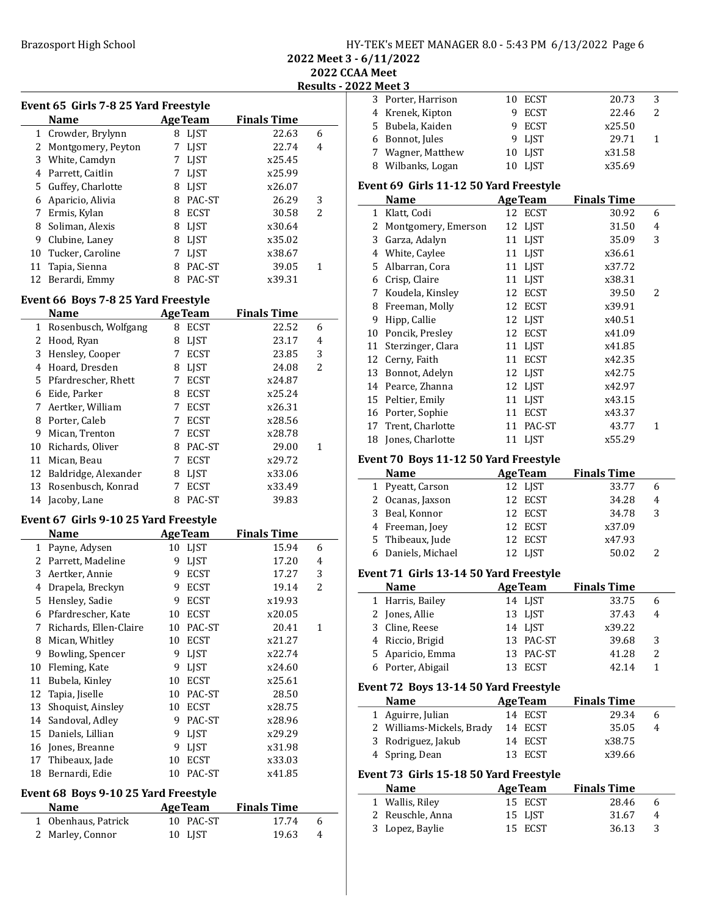| Brazosport High School | HY-TEK's MEET MANAGER 8.0 - 5:43 PM 6/13/2022 Page 6 |  |
|------------------------|------------------------------------------------------|--|
|                        | 2022 Meet 3 - 6/11/2022                              |  |

2022 CCAA Meet

Results - 2022 Meet 3

|       | Event 65 Girls 7-8 25 Yard Freestyle  |    |                |                    |                |
|-------|---------------------------------------|----|----------------|--------------------|----------------|
|       | <b>Name</b>                           |    | <b>AgeTeam</b> | <b>Finals Time</b> |                |
| $1\,$ | Crowder, Brylynn                      |    | 8 LJST         | 22.63              | 6              |
|       | 2 Montgomery, Peyton                  | 7  | LJST           | 22.74              | 4              |
|       | 3 White, Camdyn                       |    | 7 LJST         | x25.45             |                |
|       | 4 Parrett, Caitlin                    |    | 7 LJST         | x25.99             |                |
| 5     | Guffey, Charlotte                     |    | 8 LJST         | x26.07             |                |
|       | 6 Aparicio, Alivia                    |    | 8 PAC-ST       | 26.29              | 3              |
|       | 7 Ermis, Kylan                        |    | 8 ECST         | 30.58              | 2              |
|       | 8 Soliman, Alexis                     |    | 8 LJST         | x30.64             |                |
|       | 9 Clubine, Laney                      |    | 8 LJST         | x35.02             |                |
| 10    | Tucker, Caroline                      | 7  | LJST           | x38.67             |                |
| 11    | Tapia, Sienna                         | 8  | PAC-ST         | 39.05              | 1              |
| 12    | Berardi, Emmy                         | 8  | PAC-ST         | x39.31             |                |
|       | Event 66 Boys 7-8 25 Yard Freestyle   |    |                |                    |                |
|       | <b>Name</b>                           |    | <b>AgeTeam</b> | <b>Finals Time</b> |                |
|       | 1 Rosenbusch, Wolfgang                |    | 8 ECST         | 22.52              | 6              |
|       | 2 Hood, Ryan                          |    | 8 LJST         | 23.17              | 4              |
| 3     | Hensley, Cooper                       |    | 7 ECST         | 23.85              | 3              |
|       | 4 Hoard, Dresden                      |    | 8 LJST         | 24.08              | $\overline{2}$ |
|       | 5 Pfardrescher, Rhett                 |    | 7 ECST         | x24.87             |                |
|       | 6 Eide, Parker                        |    | 8 ECST         | x25.24             |                |
| 7     | Aertker, William                      |    | 7 ECST         | x26.31             |                |
|       | 8 Porter, Caleb                       | 7  | <b>ECST</b>    | x28.56             |                |
| 9     | Mican, Trenton                        | 7  | <b>ECST</b>    | x28.78             |                |
| 10    | Richards, Oliver                      |    | 8 PAC-ST       | 29.00              | 1              |
| 11    | Mican, Beau                           | 7  | <b>ECST</b>    | x29.72             |                |
| 12    | Baldridge, Alexander                  |    | 8 LJST         | x33.06             |                |
| 13    | Rosenbusch, Konrad                    | 7  | <b>ECST</b>    | x33.49             |                |
| 14    | Jacoby, Lane                          | 8  | PAC-ST         | 39.83              |                |
|       | Event 67 Girls 9-10 25 Yard Freestyle |    |                |                    |                |
|       | <b>Name</b>                           |    | <b>AgeTeam</b> | <b>Finals Time</b> |                |
|       | 1 Payne, Adysen                       |    | 10 LJST        | 15.94              | 6              |
|       | 2 Parrett, Madeline                   |    | 9 LJST         | 17.20              | 4              |
|       | 3 Aertker, Annie                      |    | 9 ECST         | 17.27              | 3              |
|       | 4 Drapela, Breckyn                    | 9  | <b>ECST</b>    | 19.14              | 2              |
| 5     | Hensley, Sadie                        | 9. | <b>ECST</b>    | x19.93             |                |
| 6     | Pfardrescher, Kate                    | 10 | <b>ECST</b>    | x20.05             |                |
| 7     | Richards, Ellen-Claire                | 10 | PAC-ST         | 20.41              | 1              |
| 8     | Mican, Whitley                        | 10 | <b>ECST</b>    | x21.27             |                |
| 9     | Bowling, Spencer                      | 9  | <b>LJST</b>    | x22.74             |                |
| 10    | Fleming, Kate                         | 9  | LJST           | x24.60             |                |
| 11    | Bubela, Kinley                        | 10 | <b>ECST</b>    | x25.61             |                |
| 12    | Tapia, Jiselle                        | 10 | PAC-ST         | 28.50              |                |
| 13    | Shoquist, Ainsley                     | 10 | <b>ECST</b>    | x28.75             |                |
| 14    | Sandoval, Adley                       | 9. | PAC-ST         | x28.96             |                |
| 15    | Daniels, Lillian                      | 9  | LJST           | x29.29             |                |
| 16    | Jones, Breanne                        | 9  | <b>LJST</b>    | x31.98             |                |
| 17    | Thibeaux, Jade                        | 10 | <b>ECST</b>    | x33.03             |                |
| 18    | Bernardi, Edie                        | 10 | PAC-ST         | x41.85             |                |
|       | Event 68 Boys 9-10 25 Yard Freestyle  |    |                |                    |                |
|       | <b>Name</b>                           |    | <b>AgeTeam</b> | <b>Finals Time</b> |                |
| 1     | Obenhaus, Patrick                     | 10 | PAC-ST         | 17.74              | 6              |
| 2     | Marley, Connor                        | 10 | LJST           | 19.63              | 4              |

|              | 3 Porter, Harrison                     | 10 ECST                          | 20.73              | 3            |
|--------------|----------------------------------------|----------------------------------|--------------------|--------------|
|              | 4 Krenek, Kipton                       | 9 ECST                           | 22.46              | 2            |
|              | 5 Bubela, Kaiden                       | 9 ECST                           | x25.50             |              |
|              | 6 Bonnot, Jules                        | 9 LJST                           | 29.71              | 1            |
|              | 7 Wagner, Matthew                      | 10 LJST                          | x31.58             |              |
|              | 8 Wilbanks, Logan                      | LIST<br>10                       | x35.69             |              |
|              | Event 69 Girls 11-12 50 Yard Freestyle |                                  |                    |              |
|              | Name                                   | <b>AgeTeam</b>                   | <b>Finals Time</b> |              |
|              | 1 Klatt, Codi                          | 12 ECST                          | 30.92              | 6            |
|              | 2 Montgomery, Emerson                  | 12<br>LJST                       | 31.50              | 4            |
|              | 3 Garza, Adalyn                        | 11<br>LJST                       | 35.09              | 3            |
|              | 4 White, Caylee                        | 11<br><b>LJST</b>                | x36.61             |              |
|              | 5 Albarran, Cora                       | 11<br>LJST                       | x37.72             |              |
|              | 6 Crisp, Claire                        | 11<br><b>LJST</b>                | x38.31             |              |
|              | 7 Koudela, Kinsley                     | 12 ECST                          | 39.50              | 2            |
|              | 8 Freeman, Molly                       | 12 ECST                          | x39.91             |              |
|              | 9 Hipp, Callie                         | 12 LJST                          | x40.51             |              |
|              | 10 Poncik, Presley                     | 12 ECST                          | x41.09             |              |
| 11           | Sterzinger, Clara                      | 11 LJST                          | x41.85             |              |
|              | 12 Cerny, Faith                        | 11<br>ECST                       | x42.35             |              |
|              | 13 Bonnot, Adelyn                      | 12 LJST                          | x42.75             |              |
|              | 14 Pearce, Zhanna                      | 12 LJST                          | x42.97             |              |
|              | 15 Peltier, Emily                      | 11<br>LJST                       | x43.15             |              |
|              | 16 Porter, Sophie                      | 11 ECST                          | x43.37             |              |
| 17           | Trent, Charlotte                       | PAC-ST<br>11                     | 43.77              | $\mathbf{1}$ |
| 18           | Jones, Charlotte                       | <b>LJST</b><br>11                | x55.29             |              |
|              |                                        |                                  |                    |              |
|              | Event 70 Boys 11-12 50 Yard Freestyle  |                                  | <b>Finals Time</b> |              |
|              |                                        |                                  |                    |              |
|              | <b>Name</b>                            | <b>AgeTeam</b>                   |                    |              |
|              | 1 Pyeatt, Carson                       | 12 LJST                          | 33.77              | 6            |
|              | 2 Ocanas, Jaxson                       | 12 ECST                          | 34.28              | 4            |
|              | 3 Beal, Konnor                         | 12 ECST                          | 34.78              | 3            |
|              | 4 Freeman, Joey                        | 12 ECST                          | x37.09             |              |
|              | 5 Thibeaux, Jude                       | 12<br><b>ECST</b>                | x47.93             |              |
|              | 6 Daniels, Michael                     | 12 LJST                          | 50.02              | 2            |
|              | Event 71 Girls 13-14 50 Yard Freestyle |                                  |                    |              |
|              | <b>Name</b>                            | <b>AgeTeam</b>                   | <b>Finals Time</b> |              |
| $\mathbf{1}$ | Harris, Bailey                         | 14 LJST                          | 33.75              | 6            |
|              | 2 Jones, Allie                         | 13 LJST                          | 37.43              | 4            |
| 3            | Cline, Reese                           | 14<br>LJST                       | x39.22             |              |
|              | 4 Riccio, Brigid                       | 13<br>PAC-ST                     | 39.68              | 3            |
|              | 5 Aparicio, Emma                       | 13<br>PAC-ST                     | 41.28              | 2            |
|              | 6 Porter, Abigail                      | <b>ECST</b><br>13                | 42.14              | $\mathbf{1}$ |
|              |                                        |                                  |                    |              |
|              | Event 72 Boys 13-14 50 Yard Freestyle  |                                  |                    |              |
|              | Name                                   | <b>AgeTeam</b>                   | <b>Finals Time</b> | 6            |
|              | 1 Aguirre, Julian                      | 14 ECST                          | 29.34              | 4            |
|              | 2 Williams-Mickels, Brady              | 14 ECST<br>14                    | 35.05              |              |
| 4            | 3 Rodriguez, Jakub<br>Spring, Dean     | <b>ECST</b><br><b>ECST</b><br>13 | x38.75<br>x39.66   |              |
|              |                                        |                                  |                    |              |
|              | Event 73 Girls 15-18 50 Yard Freestyle |                                  |                    |              |
|              | <b>Name</b>                            | <b>AgeTeam</b>                   | <b>Finals Time</b> |              |
| 1            | Wallis, Riley                          | 15<br><b>ECST</b>                | 28.46              | 6            |
| 2<br>3       | Reuschle, Anna<br>Lopez, Baylie        | 15<br>LJST<br>15<br><b>ECST</b>  | 31.67<br>36.13     | 4<br>3       |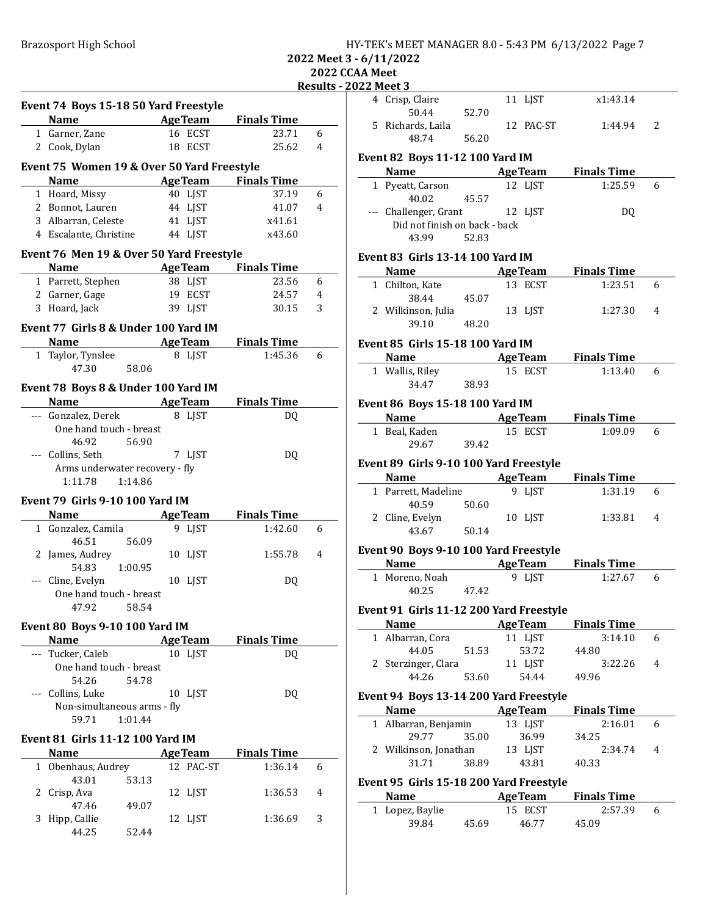Brazosport High School **HY-TEK's MEET MANAGER 8.0 - 5:43 PM 6/13/2022** Page 7

2022 Meet 3 - 6/11/2022

# 2022 CCAA Meet

Results - 2022 Meet 3

| Event 74 Boys 15-18 50 Yard Freestyle<br><b>Example 2 Age Team</b><br><b>Finals Time</b><br><b>Name</b><br>1 Garner, Zane<br>16 ECST<br>23.71<br>2 Cook, Dylan<br>18 ECST<br>25.62<br>Event 75 Women 19 & Over 50 Yard Freestyle<br><b>Example 2 Age Team</b> Finals Time<br>Name<br>40 LJST<br>37.19<br>1 Hoard, Missy<br>2 Bonnot, Lauren<br>44 LJST<br>41.07<br>3 Albarran, Celeste<br>41 LJST<br>x41.61<br>4 Escalante, Christine<br>44 LJST<br>x43.60<br>Event 76 Men 19 & Over 50 Yard Freestyle<br><b>AgeTeam</b><br><b>Finals Time</b><br><b>Name</b><br>38 LJST<br>1 Parrett, Stephen<br>23.56<br>2 Garner, Gage<br>19 ECST<br>24.57<br>3 Hoard, Jack<br>39 LJST<br>30.15<br>Event 77 Girls 8 & Under 100 Yard IM<br><b>Example 21 Age Team</b><br><b>Finals Time</b><br><b>Name</b><br>1:45.36<br>1 Taylor, Tynslee<br>8 LJST<br>58.06<br>47.30<br>Event 78 Boys 8 & Under 100 Yard IM<br>Name AgeTeam<br><b>Finals Time</b><br>--- Gonzalez, Derek<br>8 LJST<br>DQ<br>One hand touch - breast<br>46.92<br>56.90<br>--- Collins, Seth<br>7 LIST<br>DQ<br>Arms underwater recovery - fly<br>1:11.78  1:14.86<br><b>Event 79 Girls 9-10 100 Yard IM</b><br><b>Finals Time</b><br><b>Name</b><br><b>AgeTeam</b> |
|------------------------------------------------------------------------------------------------------------------------------------------------------------------------------------------------------------------------------------------------------------------------------------------------------------------------------------------------------------------------------------------------------------------------------------------------------------------------------------------------------------------------------------------------------------------------------------------------------------------------------------------------------------------------------------------------------------------------------------------------------------------------------------------------------------------------------------------------------------------------------------------------------------------------------------------------------------------------------------------------------------------------------------------------------------------------------------------------------------------------------------------------------------------------------------------------------------------------|
|                                                                                                                                                                                                                                                                                                                                                                                                                                                                                                                                                                                                                                                                                                                                                                                                                                                                                                                                                                                                                                                                                                                                                                                                                        |
|                                                                                                                                                                                                                                                                                                                                                                                                                                                                                                                                                                                                                                                                                                                                                                                                                                                                                                                                                                                                                                                                                                                                                                                                                        |
|                                                                                                                                                                                                                                                                                                                                                                                                                                                                                                                                                                                                                                                                                                                                                                                                                                                                                                                                                                                                                                                                                                                                                                                                                        |
|                                                                                                                                                                                                                                                                                                                                                                                                                                                                                                                                                                                                                                                                                                                                                                                                                                                                                                                                                                                                                                                                                                                                                                                                                        |
|                                                                                                                                                                                                                                                                                                                                                                                                                                                                                                                                                                                                                                                                                                                                                                                                                                                                                                                                                                                                                                                                                                                                                                                                                        |
|                                                                                                                                                                                                                                                                                                                                                                                                                                                                                                                                                                                                                                                                                                                                                                                                                                                                                                                                                                                                                                                                                                                                                                                                                        |
|                                                                                                                                                                                                                                                                                                                                                                                                                                                                                                                                                                                                                                                                                                                                                                                                                                                                                                                                                                                                                                                                                                                                                                                                                        |
|                                                                                                                                                                                                                                                                                                                                                                                                                                                                                                                                                                                                                                                                                                                                                                                                                                                                                                                                                                                                                                                                                                                                                                                                                        |
|                                                                                                                                                                                                                                                                                                                                                                                                                                                                                                                                                                                                                                                                                                                                                                                                                                                                                                                                                                                                                                                                                                                                                                                                                        |
|                                                                                                                                                                                                                                                                                                                                                                                                                                                                                                                                                                                                                                                                                                                                                                                                                                                                                                                                                                                                                                                                                                                                                                                                                        |
|                                                                                                                                                                                                                                                                                                                                                                                                                                                                                                                                                                                                                                                                                                                                                                                                                                                                                                                                                                                                                                                                                                                                                                                                                        |
|                                                                                                                                                                                                                                                                                                                                                                                                                                                                                                                                                                                                                                                                                                                                                                                                                                                                                                                                                                                                                                                                                                                                                                                                                        |
|                                                                                                                                                                                                                                                                                                                                                                                                                                                                                                                                                                                                                                                                                                                                                                                                                                                                                                                                                                                                                                                                                                                                                                                                                        |
|                                                                                                                                                                                                                                                                                                                                                                                                                                                                                                                                                                                                                                                                                                                                                                                                                                                                                                                                                                                                                                                                                                                                                                                                                        |
|                                                                                                                                                                                                                                                                                                                                                                                                                                                                                                                                                                                                                                                                                                                                                                                                                                                                                                                                                                                                                                                                                                                                                                                                                        |
|                                                                                                                                                                                                                                                                                                                                                                                                                                                                                                                                                                                                                                                                                                                                                                                                                                                                                                                                                                                                                                                                                                                                                                                                                        |
|                                                                                                                                                                                                                                                                                                                                                                                                                                                                                                                                                                                                                                                                                                                                                                                                                                                                                                                                                                                                                                                                                                                                                                                                                        |
|                                                                                                                                                                                                                                                                                                                                                                                                                                                                                                                                                                                                                                                                                                                                                                                                                                                                                                                                                                                                                                                                                                                                                                                                                        |
|                                                                                                                                                                                                                                                                                                                                                                                                                                                                                                                                                                                                                                                                                                                                                                                                                                                                                                                                                                                                                                                                                                                                                                                                                        |
|                                                                                                                                                                                                                                                                                                                                                                                                                                                                                                                                                                                                                                                                                                                                                                                                                                                                                                                                                                                                                                                                                                                                                                                                                        |
|                                                                                                                                                                                                                                                                                                                                                                                                                                                                                                                                                                                                                                                                                                                                                                                                                                                                                                                                                                                                                                                                                                                                                                                                                        |
|                                                                                                                                                                                                                                                                                                                                                                                                                                                                                                                                                                                                                                                                                                                                                                                                                                                                                                                                                                                                                                                                                                                                                                                                                        |
|                                                                                                                                                                                                                                                                                                                                                                                                                                                                                                                                                                                                                                                                                                                                                                                                                                                                                                                                                                                                                                                                                                                                                                                                                        |
|                                                                                                                                                                                                                                                                                                                                                                                                                                                                                                                                                                                                                                                                                                                                                                                                                                                                                                                                                                                                                                                                                                                                                                                                                        |
|                                                                                                                                                                                                                                                                                                                                                                                                                                                                                                                                                                                                                                                                                                                                                                                                                                                                                                                                                                                                                                                                                                                                                                                                                        |
|                                                                                                                                                                                                                                                                                                                                                                                                                                                                                                                                                                                                                                                                                                                                                                                                                                                                                                                                                                                                                                                                                                                                                                                                                        |
|                                                                                                                                                                                                                                                                                                                                                                                                                                                                                                                                                                                                                                                                                                                                                                                                                                                                                                                                                                                                                                                                                                                                                                                                                        |
|                                                                                                                                                                                                                                                                                                                                                                                                                                                                                                                                                                                                                                                                                                                                                                                                                                                                                                                                                                                                                                                                                                                                                                                                                        |
|                                                                                                                                                                                                                                                                                                                                                                                                                                                                                                                                                                                                                                                                                                                                                                                                                                                                                                                                                                                                                                                                                                                                                                                                                        |
|                                                                                                                                                                                                                                                                                                                                                                                                                                                                                                                                                                                                                                                                                                                                                                                                                                                                                                                                                                                                                                                                                                                                                                                                                        |
| 1 Gonzalez, Camila<br>9 LJST<br>1:42.60                                                                                                                                                                                                                                                                                                                                                                                                                                                                                                                                                                                                                                                                                                                                                                                                                                                                                                                                                                                                                                                                                                                                                                                |
| 46.51<br>56.09                                                                                                                                                                                                                                                                                                                                                                                                                                                                                                                                                                                                                                                                                                                                                                                                                                                                                                                                                                                                                                                                                                                                                                                                         |
| James, Audrey<br>10 LJST<br>1:55.78<br>2                                                                                                                                                                                                                                                                                                                                                                                                                                                                                                                                                                                                                                                                                                                                                                                                                                                                                                                                                                                                                                                                                                                                                                               |
| 54.83<br>1:00.95                                                                                                                                                                                                                                                                                                                                                                                                                                                                                                                                                                                                                                                                                                                                                                                                                                                                                                                                                                                                                                                                                                                                                                                                       |
| --- Cline, Evelyn<br>10 LJST<br>DQ                                                                                                                                                                                                                                                                                                                                                                                                                                                                                                                                                                                                                                                                                                                                                                                                                                                                                                                                                                                                                                                                                                                                                                                     |
| One hand touch - breast                                                                                                                                                                                                                                                                                                                                                                                                                                                                                                                                                                                                                                                                                                                                                                                                                                                                                                                                                                                                                                                                                                                                                                                                |
| 47.92 58.54                                                                                                                                                                                                                                                                                                                                                                                                                                                                                                                                                                                                                                                                                                                                                                                                                                                                                                                                                                                                                                                                                                                                                                                                            |
| <b>Event 80 Boys 9-10 100 Yard IM</b>                                                                                                                                                                                                                                                                                                                                                                                                                                                                                                                                                                                                                                                                                                                                                                                                                                                                                                                                                                                                                                                                                                                                                                                  |
| <b>Finals Time</b><br><b>AgeTeam</b><br><b>Name</b>                                                                                                                                                                                                                                                                                                                                                                                                                                                                                                                                                                                                                                                                                                                                                                                                                                                                                                                                                                                                                                                                                                                                                                    |
| --- Tucker, Caleb<br>10 LJST<br>DQ                                                                                                                                                                                                                                                                                                                                                                                                                                                                                                                                                                                                                                                                                                                                                                                                                                                                                                                                                                                                                                                                                                                                                                                     |
| One hand touch - breast                                                                                                                                                                                                                                                                                                                                                                                                                                                                                                                                                                                                                                                                                                                                                                                                                                                                                                                                                                                                                                                                                                                                                                                                |
| 54.26<br>54.78                                                                                                                                                                                                                                                                                                                                                                                                                                                                                                                                                                                                                                                                                                                                                                                                                                                                                                                                                                                                                                                                                                                                                                                                         |
| --- Collins, Luke<br>10 LIST<br>DQ                                                                                                                                                                                                                                                                                                                                                                                                                                                                                                                                                                                                                                                                                                                                                                                                                                                                                                                                                                                                                                                                                                                                                                                     |
| Non-simultaneous arms - fly                                                                                                                                                                                                                                                                                                                                                                                                                                                                                                                                                                                                                                                                                                                                                                                                                                                                                                                                                                                                                                                                                                                                                                                            |
| 59.71<br>1:01.44                                                                                                                                                                                                                                                                                                                                                                                                                                                                                                                                                                                                                                                                                                                                                                                                                                                                                                                                                                                                                                                                                                                                                                                                       |
| <b>Event 81 Girls 11-12 100 Yard IM</b>                                                                                                                                                                                                                                                                                                                                                                                                                                                                                                                                                                                                                                                                                                                                                                                                                                                                                                                                                                                                                                                                                                                                                                                |
| <b>Name</b><br><b>Finals Time</b><br><b>AgeTeam</b>                                                                                                                                                                                                                                                                                                                                                                                                                                                                                                                                                                                                                                                                                                                                                                                                                                                                                                                                                                                                                                                                                                                                                                    |
| 1 Obenhaus, Audrey<br>12 PAC-ST<br>1:36.14                                                                                                                                                                                                                                                                                                                                                                                                                                                                                                                                                                                                                                                                                                                                                                                                                                                                                                                                                                                                                                                                                                                                                                             |
| 43.01<br>53.13                                                                                                                                                                                                                                                                                                                                                                                                                                                                                                                                                                                                                                                                                                                                                                                                                                                                                                                                                                                                                                                                                                                                                                                                         |
| 2 Crisp, Ava<br>12 LJST<br>1:36.53                                                                                                                                                                                                                                                                                                                                                                                                                                                                                                                                                                                                                                                                                                                                                                                                                                                                                                                                                                                                                                                                                                                                                                                     |
|                                                                                                                                                                                                                                                                                                                                                                                                                                                                                                                                                                                                                                                                                                                                                                                                                                                                                                                                                                                                                                                                                                                                                                                                                        |
|                                                                                                                                                                                                                                                                                                                                                                                                                                                                                                                                                                                                                                                                                                                                                                                                                                                                                                                                                                                                                                                                                                                                                                                                                        |
| 47.46<br>49.07<br>Hipp, Callie<br>12 LJST<br>1:36.69<br>3                                                                                                                                                                                                                                                                                                                                                                                                                                                                                                                                                                                                                                                                                                                                                                                                                                                                                                                                                                                                                                                                                                                                                              |

|                                         | 4 Crisp, Claire                         |       |         | 11 LJST        | x1:43.14                            |   |  |
|-----------------------------------------|-----------------------------------------|-------|---------|----------------|-------------------------------------|---|--|
|                                         | 50.44                                   | 52.70 |         |                |                                     |   |  |
|                                         | 5 Richards, Laila                       |       |         | 12 PAC-ST      | 1:44.94                             | 2 |  |
|                                         | 48.74                                   | 56.20 |         |                |                                     |   |  |
| Event 82 Boys 11-12 100 Yard IM         |                                         |       |         |                |                                     |   |  |
|                                         |                                         |       |         |                | Name AgeTeam Finals Time            |   |  |
|                                         | 1 Pyeatt, Carson                        |       |         | 12 LJST        | 1:25.59                             | 6 |  |
|                                         | 40.02 45.57                             |       |         |                |                                     |   |  |
|                                         | --- Challenger, Grant 12 LJST           |       |         |                | DQ                                  |   |  |
|                                         | Did not finish on back - back           |       |         |                |                                     |   |  |
|                                         | 43.99 52.83                             |       |         |                |                                     |   |  |
| <b>Event 83 Girls 13-14 100 Yard IM</b> |                                         |       |         |                |                                     |   |  |
|                                         | <b>Name AgeTeam</b> Finals Time         |       |         |                |                                     |   |  |
|                                         | 1 Chilton, Kate                         |       |         | 13 ECST        | 1:23.51                             | 6 |  |
|                                         | 38.44 45.07                             |       |         |                |                                     |   |  |
|                                         | 2 Wilkinson, Julia                      |       | 13 LJST |                | 1:27.30                             | 4 |  |
|                                         | 39.10 48.20                             |       |         |                |                                     |   |  |
|                                         | <b>Event 85 Girls 15-18 100 Yard IM</b> |       |         |                |                                     |   |  |
|                                         | Name AgeTeam Finals Time                |       |         |                |                                     |   |  |
|                                         | 1 Wallis, Riley                         |       |         | 15 ECST        | 1:13.40                             | 6 |  |
|                                         | 34.47                                   | 38.93 |         |                |                                     |   |  |
|                                         |                                         |       |         |                |                                     |   |  |
|                                         | Event 86 Boys 15-18 100 Yard IM         |       |         |                |                                     |   |  |
|                                         |                                         |       |         |                | Name AgeTeam Finals Time            |   |  |
|                                         | 1 Beal, Kaden                           |       |         | 15 ECST        | 1:09.09                             | 6 |  |
|                                         | 29.67 39.42                             |       |         |                |                                     |   |  |
|                                         | Event 89 Girls 9-10 100 Yard Freestyle  |       |         |                |                                     |   |  |
|                                         |                                         |       |         |                | AgeTeam Finals Time                 |   |  |
|                                         | Name                                    |       |         |                |                                     |   |  |
|                                         | 1 Parrett, Madeline                     |       |         | 9 LJST         | 1:31.19                             | 6 |  |
|                                         | 40.59                                   | 50.60 |         |                |                                     |   |  |
|                                         |                                         |       |         | 10 LJST        | 1:33.81                             | 4 |  |
|                                         | 2 Cline, Evelyn<br>43.67 50.14          |       |         |                |                                     |   |  |
|                                         |                                         |       |         |                |                                     |   |  |
|                                         | Event 90 Boys 9-10 100 Yard Freestyle   |       |         |                |                                     |   |  |
|                                         |                                         |       |         |                | Name AgeTeam Finals Time<br>1:27.67 | 6 |  |
|                                         | 1 Moreno, Noah<br>40.25                 | 47.42 |         | 9 LJST         |                                     |   |  |
|                                         |                                         |       |         |                |                                     |   |  |
|                                         | Event 91 Girls 11-12 200 Yard Freestyle |       |         |                |                                     |   |  |
|                                         | <b>Name</b>                             |       |         | <b>AgeTeam</b> | <b>Finals Time</b>                  |   |  |
|                                         | 1 Albarran, Cora                        |       |         | 11 LJST        | 3:14.10                             | 6 |  |
|                                         | 44.05                                   | 51.53 |         | 53.72          | 44.80                               |   |  |
|                                         | 2 Sterzinger, Clara                     |       |         | 11 LJST        | 3:22.26                             | 4 |  |
|                                         | 44.26                                   | 53.60 |         | 54.44          | 49.96                               |   |  |
|                                         | Event 94 Boys 13-14 200 Yard Freestyle  |       |         |                |                                     |   |  |
|                                         | Name                                    |       |         | <b>AgeTeam</b> | <b>Finals Time</b>                  |   |  |
| $\mathbf{1}$                            | Albarran, Benjamin                      |       |         | 13 LJST        | 2:16.01                             | 6 |  |
|                                         | 29.77                                   | 35.00 |         | 36.99          | 34.25                               |   |  |
|                                         | 2 Wilkinson, Jonathan                   |       |         | 13 LJST        | 2:34.74                             | 4 |  |
|                                         | 31.71                                   | 38.89 |         | 43.81          | 40.33                               |   |  |
|                                         | Event 95 Girls 15-18 200 Yard Freestyle |       |         |                |                                     |   |  |
|                                         | Name                                    |       |         | <b>AgeTeam</b> | <b>Finals Time</b>                  |   |  |
|                                         | 1 Lopez, Baylie                         |       |         | 15 ECST        | 2:57.39                             | 6 |  |
|                                         | 39.84                                   | 45.69 |         | 46.77          | 45.09                               |   |  |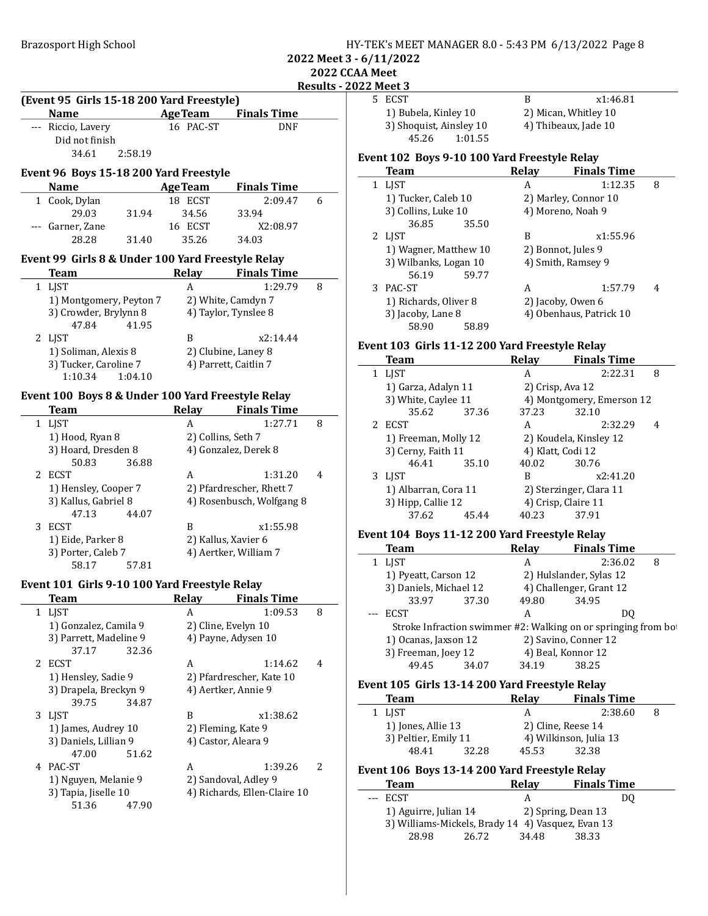2022 CCAA Meet

| <b>Results - 2022 Meet 3</b> |  |
|------------------------------|--|
|                              |  |

|   | (Event 95 Girls 15-18 200 Yard Freestyle)<br><b>Example 2 Second Age Team 5 Finals Time</b><br>Name |                           |                              |   |
|---|-----------------------------------------------------------------------------------------------------|---------------------------|------------------------------|---|
|   | --- Riccio, Lavery                                                                                  | 16 PAC-ST                 | <b>DNF</b>                   |   |
|   | Did not finish                                                                                      |                           |                              |   |
|   | 34.61<br>2:58.19                                                                                    |                           |                              |   |
|   |                                                                                                     |                           |                              |   |
|   | Event 96 Boys 15-18 200 Yard Freestyle                                                              |                           |                              |   |
|   | Name                                                                                                | <b>AgeTeam</b>            | <b>Finals Time</b>           |   |
|   | 1 Cook, Dylan                                                                                       | 18 ECST                   | 2:09.47                      | 6 |
|   | 29.03<br>31.94                                                                                      | 34.56                     | 33.94                        |   |
|   | --- Garner, Zane                                                                                    | 16 ECST                   | X2:08.97                     |   |
|   | 28.28<br>31.40                                                                                      | 35.26                     | 34.03                        |   |
|   | Event 99 Girls 8 & Under 100 Yard Freestyle Relay                                                   |                           |                              |   |
|   | Team                                                                                                | Relay                     | <b>Finals Time</b>           |   |
|   | 1 LJST                                                                                              | A                         | 1:29.79                      | 8 |
|   | 1) Montgomery, Peyton 7                                                                             |                           | 2) White, Camdyn 7           |   |
|   | 3) Crowder, Brylynn 8                                                                               |                           | 4) Taylor, Tynslee 8         |   |
|   | 47.84<br>41.95                                                                                      |                           |                              |   |
|   | 2 LIST                                                                                              | B                         | x2:14.44                     |   |
|   | 1) Soliman, Alexis 8                                                                                |                           | 2) Clubine, Laney 8          |   |
|   | 3) Tucker, Caroline 7                                                                               |                           | 4) Parrett, Caitlin 7        |   |
|   | 1:10.34<br>1:04.10                                                                                  |                           |                              |   |
|   |                                                                                                     |                           |                              |   |
|   | Event 100 Boys 8 & Under 100 Yard Freestyle Relay                                                   |                           | Relay Finals Time            |   |
|   | <b>Team</b>                                                                                         | A                         | 1:27.71                      | 8 |
|   | 1 LJST                                                                                              |                           |                              |   |
|   | 1) Hood, Ryan 8                                                                                     | 2) Collins, Seth 7        |                              |   |
|   | 3) Hoard, Dresden 8                                                                                 |                           | 4) Gonzalez, Derek 8         |   |
|   | 50.83<br>36.88                                                                                      |                           |                              |   |
|   | 2 ECST                                                                                              | A                         | 1:31.20                      | 4 |
|   | 1) Hensley, Cooper 7                                                                                | 2) Pfardrescher, Rhett 7  |                              |   |
|   | 3) Kallus, Gabriel 8                                                                                | 4) Rosenbusch, Wolfgang 8 |                              |   |
|   | 47.13<br>44.07                                                                                      |                           |                              |   |
|   | 3 ECST                                                                                              | B                         | x1:55.98                     |   |
|   | 1) Eide, Parker 8                                                                                   | 2) Kallus, Xavier 6       |                              |   |
|   | 3) Porter, Caleb 7                                                                                  |                           | 4) Aertker, William 7        |   |
|   | 58.17<br>57.81                                                                                      |                           |                              |   |
|   | Event 101 Girls 9-10 100 Yard Freestyle Relay                                                       |                           |                              |   |
|   | Team                                                                                                |                           | Relay Finals Time            |   |
|   | 1 LJST                                                                                              | A                         | 1:09.53                      | 8 |
|   | 1) Gonzalez, Camila 9                                                                               |                           | 2) Cline, Evelyn 10          |   |
|   | 3) Parrett, Madeline 9                                                                              |                           | 4) Payne, Adysen 10          |   |
|   | 37.17<br>32.36                                                                                      |                           |                              |   |
| 2 | <b>ECST</b>                                                                                         | A                         | 1:14.62                      | 4 |
|   | 1) Hensley, Sadie 9                                                                                 |                           | 2) Pfardrescher, Kate 10     |   |
|   | 3) Drapela, Breckyn 9                                                                               |                           | 4) Aertker, Annie 9          |   |
|   | 39.75<br>34.87                                                                                      |                           |                              |   |
|   |                                                                                                     |                           | x1:38.62                     |   |
|   | 3 LJST                                                                                              | B                         |                              |   |
|   | 1) James, Audrey 10                                                                                 | 2) Fleming, Kate 9        |                              |   |
|   | 3) Daniels, Lillian 9                                                                               |                           | 4) Castor, Aleara 9          |   |
|   | 51.62<br>47.00                                                                                      |                           |                              |   |
|   | 4 PAC-ST                                                                                            | A                         | 1:39.26                      | 2 |
|   | 1) Nguyen, Melanie 9                                                                                |                           | 2) Sandoval, Adley 9         |   |
|   | 3) Tapia, Jiselle 10                                                                                |                           | 4) Richards, Ellen-Claire 10 |   |
|   | 51.36<br>47.90                                                                                      |                           |                              |   |

|         | <u>JZZ Meet 3</u>                                             |                   |                                 |   |  |
|---------|---------------------------------------------------------------|-------------------|---------------------------------|---|--|
|         | 5 ECST                                                        | B                 | x1:46.81                        |   |  |
|         | 1) Bubela, Kinley 10                                          |                   | 2) Mican, Whitley 10            |   |  |
|         | 3) Shoquist, Ainsley 10<br>45.26<br>1:01.55                   |                   | 4) Thibeaux, Jade 10            |   |  |
|         | Event 102 Boys 9-10 100 Yard Freestyle Relay                  |                   |                                 |   |  |
|         | <b>Team</b>                                                   | <b>Relay</b>      | <b>Finals Time</b>              |   |  |
|         | 1 LJST                                                        | A                 | 1:12.35                         | 8 |  |
|         | 1) Tucker, Caleb 10                                           |                   | 2) Marley, Connor 10            |   |  |
|         | 3) Collins, Luke 10                                           |                   | 4) Moreno, Noah 9               |   |  |
|         | 36.85<br>35.50                                                |                   |                                 |   |  |
|         | 2 LJST                                                        | B                 | x1:55.96                        |   |  |
|         | 1) Wagner, Matthew 10                                         |                   | 2) Bonnot, Jules 9              |   |  |
|         | 3) Wilbanks, Logan 10                                         |                   | 4) Smith, Ramsey 9              |   |  |
|         | 56.19<br>59.77                                                |                   |                                 |   |  |
|         | 3 PAC-ST                                                      | A                 | 1:57.79                         | 4 |  |
|         | 1) Richards, Oliver 8                                         |                   | 2) Jacoby, Owen 6               |   |  |
|         | 3) Jacoby, Lane 8                                             |                   | 4) Obenhaus, Patrick 10         |   |  |
|         | 58.90<br>58.89                                                |                   |                                 |   |  |
|         | Event 103 Girls 11-12 200 Yard Freestyle Relay                |                   |                                 |   |  |
|         | <b>Team</b>                                                   | Relay             | <b>Finals Time</b>              |   |  |
|         | 1 LJST                                                        | A                 | 2:22.31                         | 8 |  |
|         | 1) Garza, Adalyn 11                                           |                   | 2) Crisp, Ava 12                |   |  |
|         | 3) White, Caylee 11                                           |                   | 4) Montgomery, Emerson 12       |   |  |
|         | 35.62<br>37.36                                                | 37.23             | 32.10                           |   |  |
|         | 2 ECST                                                        | A                 | 2:32.29                         | 4 |  |
|         | 1) Freeman, Molly 12                                          |                   | 2) Koudela, Kinsley 12          |   |  |
|         | 3) Cerny, Faith 11                                            | 4) Klatt, Codi 12 |                                 |   |  |
|         | 46.41<br>35.10                                                | 40.02             | 30.76                           |   |  |
|         | 3 LJST                                                        | B                 | x2:41.20                        |   |  |
|         | 1) Albarran, Cora 11                                          |                   | 2) Sterzinger, Clara 11         |   |  |
|         | 3) Hipp, Callie 12                                            |                   | 4) Crisp, Claire 11             |   |  |
|         | 37.62<br>45.44                                                | 40.23             | 37.91                           |   |  |
|         | Event 104 Boys 11-12 200 Yard Freestyle Relay                 |                   |                                 |   |  |
|         | <b>Team</b>                                                   | <b>Relay</b>      | <b>Finals Time</b>              |   |  |
|         | 1 LJST                                                        | A                 | 2:36.02                         | 8 |  |
|         | 1) Pyeatt, Carson 12                                          |                   | 2) Hulslander, Sylas 12         |   |  |
|         | 3) Daniels, Michael 12                                        |                   | 4) Challenger, Grant 12         |   |  |
|         | 33.97<br>37.30                                                | 49.80             | 34.95                           |   |  |
|         | --- ECST                                                      | Α                 | DQ                              |   |  |
|         | Stroke Infraction swimmer #2: Walking on or springing from bo |                   |                                 |   |  |
|         | 1) Ocanas, Jaxson 12                                          |                   | 2) Savino, Conner 12            |   |  |
|         | 3) Freeman, Joey 12                                           |                   | 4) Beal, Konnor 12              |   |  |
|         | 49.45<br>34.07                                                | 34.19             | 38.25                           |   |  |
|         |                                                               |                   |                                 |   |  |
|         | Event 105 Girls 13-14 200 Yard Freestyle Relay                |                   |                                 |   |  |
|         | <b>Team</b>                                                   | <b>Relay</b>      | <b>Finals Time</b>              |   |  |
|         | 1 LJST<br>1) Jones, Allie 13                                  | A                 | 2:38.60                         | 8 |  |
|         | 3) Peltier, Emily 11                                          |                   | 2) Cline, Reese 14              |   |  |
|         | 48.41<br>32.28                                                | 45.53             | 4) Wilkinson, Julia 13<br>32.38 |   |  |
|         |                                                               |                   |                                 |   |  |
|         | Event 106 Boys 13-14 200 Yard Freestyle Relay                 |                   |                                 |   |  |
|         | <b>Team</b>                                                   | Relay             | <b>Finals Time</b>              |   |  |
| $- - -$ | ECST                                                          | A                 | DQ                              |   |  |
|         | 1) Aguirre, Julian 14                                         |                   | 2) Spring, Dean 13              |   |  |

3) Williams-Mickels, Brady 14 4) Vasquez, Evan 13 28.98 26.72 34.48 38.33